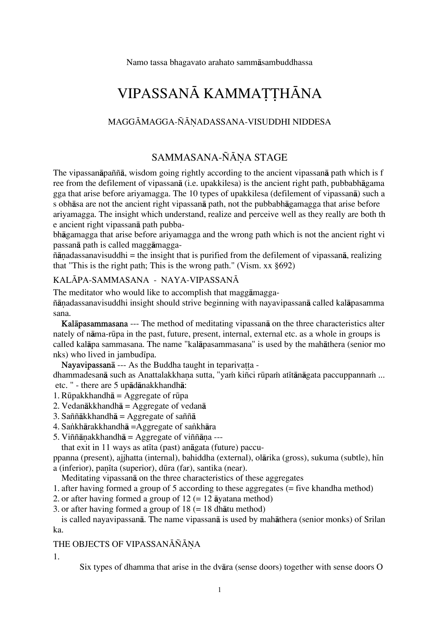Namo tassa bhagavato arahato sammåsambuddhassa

# VIPASSANĀ KAMMATTHĀNA

### MAGGĀMAGGA-ÑĀNADASSANA-VISUDDHI NIDDESA

# SAMMASANA-ÑĀNA STAGE

The vipassanåpaññå, wisdom going rightly according to the ancient vipassanå path which is f ree from the defilement of vipassanå (i.e. upakkilesa) is the ancient right path, pubbabhågama gga that arise before ariyamagga. The 10 types of upakkilesa (defilement of vipassanå) such a s obhåsa are not the ancient right vipassanå path, not the pubbabhågamagga that arise before ariyamagga. The insight which understand, realize and perceive well as they really are both th e ancient right vipassanå path pubba-

bhågamagga that arise before ariyamagga and the wrong path which is not the ancient right vi passanå path is called maggåmagga-

 $ñānadas sanavisuddhi = the insight that is purified from the defilement of vipassanā, realizing$ that "This is the right path; This is the wrong path." (Vism. xx §692)

### KALĀPA-SAMMASANA - NAYA-VIPASSANĀ

The meditator who would like to accomplish that maggåmagga-

ñānadassanavisuddhi insight should strive beginning with nayavipassanā called kalāpasamma sana.

Kalåpasammasana --- The method of meditating vipassanå on the three characteristics alter nately of nåma-rËpa in the past, future, present, internal, external etc. as a whole in groups is called kalåpa sammasana. The name "kalåpasammasana" is used by the mahåthera (senior mo nks) who lived in jambudipa.

Nayavipassan $\bar{a}$  --- As the Buddha taught in teparivatta -

dhammadesanā such as Anattalakkhana sutta, "yaṁ kiñci rūpaṁ atītānāgata paccuppannaṁ ... etc. " - there are 5 upådånakkhandhå:

- 1. Rüpakkhandh $\bar{a}$  = Aggregate of rüpa
- 2. Vedanåkkhandhå = Aggregate of vedanå
- 3. Saññākkhandhā = Aggregate of saññā
- 4. Sankhārakkhandhā =Aggregate of sankhāra
- 5. Viññānakkhandhā = Aggregate of viññāna ---

that exit in 11 ways as at ta (past) and gata (future) paccu-

ppanna (present), ajjhatta (internal), bahiddha (external), olārika (gross), sukuma (subtle), hīn a (inferior), panīta (superior), dūra (far), santika (near).

Meditating vipassanå on the three characteristics of these aggregates

- 1. after having formed a group of 5 according to these aggregates (= five khandha method)
- 2. or after having formed a group of  $12 (= 12$   $\bar{a}$ yatana method)

3. or after having formed a group of 18 (= 18 dhåtu method)

is called nayavipassanå. The name vipassanå is used by mahåthera (senior monks) of Srilan ka.

### THE OBJECTS OF VIPASSANĀÑĀNA

1.

Six types of dhamma that arise in the dvåra (sense doors) together with sense doors O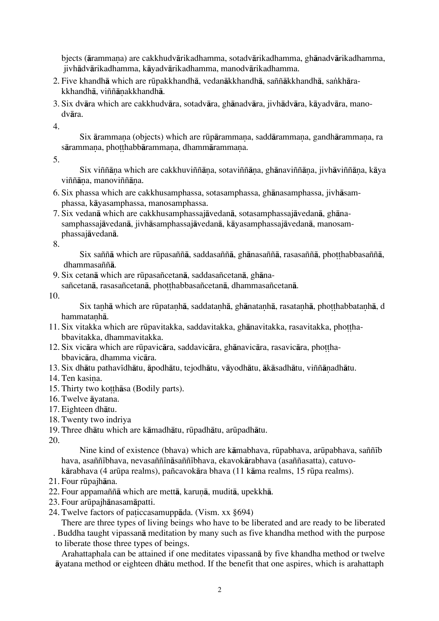bjects (årammaˆa) are cakkhudvårikadhamma, sotadvårikadhamma, ghånadvårikadhamma, jivhådvårikadhamma, kåyadvårikadhamma, manodvårikadhamma.

- 2. Five khandhā which are rūpakkhandhā, vedanākkhandhā, saññākkhandhā, sankhārakkhandhā, viññānakkhandhā.
- 3. Six dvåra which are cakkhudvåra, sotadvåra, ghånadvåra, jivhådvåra, kåyadvåra, manodvåra.

4.

Six ārammana (objects) which are rūpārammana, saddārammana, gandhārammana, ra sārammana, photthabbārammana, dhammārammana.

5.

Six viññāna which are cakkhuviññāna, sotaviññāna, ghānaviññāna, jivhāviññāna, kāya viññāna, manoviññāna.

- 6. Six phassa which are cakkhusamphassa, sotasamphassa, ghånasamphassa, jivhåsamphassa, kåyasamphassa, manosamphassa.
- 7. Six vedanå which are cakkhusamphassajåvedanå, sotasamphassajåvedanå, ghånasamphassajåvedanå, jivhåsamphassajåvedanå, kåyasamphassajåvedanå, manosamphassajåvedanå.

8.

Six saññā which are rūpasaññā, saddasaññā, ghānasaññā, rasasaññā, photthabbasaññā, dhammasaññå.

9. Six cetanå which are rËpasañcetanå, saddasañcetanå, ghåna-

sañcetanā, rasasañcetanā, photthabbasañcetanā, dhammasañcetanā.

10.

Six tanhā which are rūpatanhā, saddatanhā, ghānatanhā, rasatanhā, photthabbatanhā, d hammatanhā.

- 11. Six vitakka which are rūpavitakka, saddavitakka, ghānavitakka, rasavitakka, photthabbavitakka, dhammavitakka.
- 12. Six vicāra which are rūpavicāra, saddavicāra, ghānavicāra, rasavicāra, photthabbavicåra, dhamma vicåra.
- 13. Six dhātu pathavīdhātu, āpodhātu, tejodhātu, vāyodhātu, ākāsadhātu, viññānadhātu.
- 14. Ten kasina.
- 15. Thirty two kotthasa (Bodily parts).
- 16. Twelve åyatana.
- 17. Eighteen dhåtu.
- 18. Twenty two indriya
- 19. Three dhātu which are kāmadhātu, rūpadhātu, arūpadhātu.

20.

Nine kind of existence (bhava) which are kāmabhava, rūpabhava, arūpabhava, saññīb hava, asaññībhava, nevasaññīnāsaññībhava, ekavokārabhava (asaññasatta), catuvo-

kārabhava (4 arūpa realms), pañcavokāra bhava (11 kāma realms, 15 rūpa realms).

- 21. Four rūpajhāna.
- 22. Four appamaññā which are mettā, karunā, muditā, upekkhā.
- 23. Four arūpajhānasamāpatti.
- 24. Twelve factors of paticcasamuppāda. (Vism. xx §694)

There are three types of living beings who have to be liberated and are ready to be liberated

. Buddha taught vipassanå meditation by many such as five khandha method with the purpose to liberate those three types of beings.

Arahattaphala can be attained if one meditates vipassanå by five khandha method or twelve åyatana method or eighteen dhåtu method. If the benefit that one aspires, which is arahattaph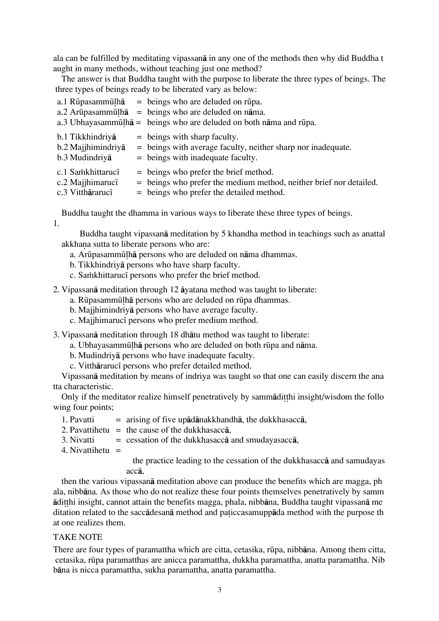ala can be fulfilled by meditating vipassanå in any one of the methods then why did Buddha t aught in many methods, without teaching just one method?

The answer is that Buddha taught with the purpose to liberate the three types of beings. The three types of beings ready to be liberated vary as below:

|                                                           |  | a.1 Rūpasammūlh $\bar{a}$ = beings who are deluded on rūpa.                                                                                                 |
|-----------------------------------------------------------|--|-------------------------------------------------------------------------------------------------------------------------------------------------------------|
|                                                           |  | $a.2$ Arūpasammūlh $\bar{a}$ = beings who are deluded on nāma.                                                                                              |
|                                                           |  | a.3 Ubhayasammulha = beings who are deluded on both nama and rupa.                                                                                          |
| b.1 Tikkhindriyā<br>b.2 Majjhimindriya<br>b.3 Mudindriya  |  | $=$ beings with sharp faculty.<br>= beings with average faculty, neither sharp nor inadequate.<br>$=$ beings with inadequate faculty.                       |
| c.1 Samkhittaruci<br>c.2 Majihimaruci<br>c.3 Vitthararuci |  | $=$ beings who prefer the brief method.<br>= beings who prefer the medium method, neither brief nor detailed.<br>$=$ beings who prefer the detailed method. |

Buddha taught the dhamma in various ways to liberate these three types of beings. 1.

 Buddha taught vipassanå meditation by 5 khandha method in teachings such as anattal akkhana sutta to liberate persons who are:

- a. ArËpasammˬhå persons who are deluded on nåma dhammas.
- b. Tikkhindriyå persons who have sharp faculty.
- c. Sa $\dot{m}$ khittaruci persons who prefer the brief method.
- 2. Vipassanå meditation through 12 åyatana method was taught to liberate:
	- a. Rūpasammūlhā persons who are deluded on rūpa dhammas.
	- b. Majjhimindriyå persons who have average faculty.
	- c. Majjhimaruci persons who prefer medium method.
- 3. Vipassanå meditation through 18 dhåtu method was taught to liberate:
	- a. Ubhayasammūlhā persons who are deluded on both rūpa and nāma.
		- b. Mudindriyå persons who have inadequate faculty.
		- c. Vitthārarucī persons who prefer detailed method.

Vipassanå meditation by means of indriya was taught so that one can easily discern the ana tta characteristic.

Only if the meditator realize himself penetratively by sammaditini insight/wisdom the follo wing four points;

- 1. Pavatti = arising of five upådånakkhandhå, the dukkhasaccå,
- 2. Pavattihetu = the cause of the dukkhasacc $\bar{a}$ .
- 3. Nivatti  $=$  cessation of the dukkhasacca and smudayasacca,
- 4. Nivattihetu  $=$

 the practice leading to the cessation of the dukkhasaccå and samudayas accå,

then the various vipassanå meditation above can produce the benefits which are magga, ph ala, nibbåna. As those who do not realize these four points themselves penetratively by samm ådi hi insight, cannot attain the benefits magga, phala, nibbåna, Buddha taught vipassanå me ditation related to the saccadesana method and paticcasamuppada method with the purpose th at one realizes them.

### TAKE NOTE

There are four types of paramattha which are citta, cetasika, rūpa, nibbāna. Among them citta, cetasika, rËpa paramatthas are anicca paramattha, dukkha paramattha, anatta paramattha. Nib båna is nicca paramattha, sukha paramattha, anatta paramattha.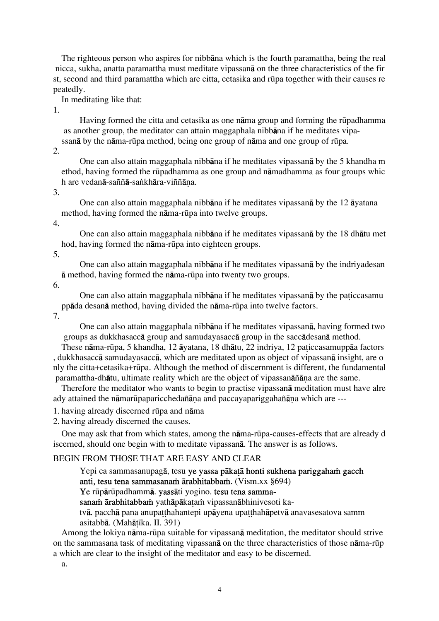The righteous person who aspires for nibbåna which is the fourth paramattha, being the real nicca, sukha, anatta paramattha must meditate vipassanå on the three characteristics of the fir st, second and third paramattha which are citta, cetasika and rūpa together with their causes re peatedly.

In meditating like that:

1.

Having formed the citta and cetasika as one nāma group and forming the rūpadhamma as another group, the meditator can attain maggaphala nibbåna if he meditates vipassanā by the nāma-rūpa method, being one group of nāma and one group of rūpa.

2.

 One can also attain maggaphala nibbåna if he meditates vipassanå by the 5 khandha m ethod, having formed the rËpadhamma as one group and nåmadhamma as four groups whic h are vedanā-saññā-saṅkhāra-viññāna.

3.

 One can also attain maggaphala nibbåna if he meditates vipassanå by the 12 åyatana method, having formed the nāma-rūpa into twelve groups.

4.

 One can also attain maggaphala nibbåna if he meditates vipassanå by the 18 dhåtu met hod, having formed the nāma-rūpa into eighteen groups.

5.

 One can also attain maggaphala nibbåna if he meditates vipassanå by the indriyadesan å method, having formed the nåma-rËpa into twenty two groups.

6.

One can also attain maggaphala nibbāna if he meditates vipassanā by the paticcasamu ppåda desanå method, having divided the nåma-rËpa into twelve factors.

7.

 One can also attain maggaphala nibbåna if he meditates vipassanå, having formed two groups as dukkhasaccå group and samudayasaccå group in the saccådesanå method.

These nāma-rūpa, 5 khandha, 12 āyatana, 18 dhātu, 22 indriya, 12 paticcasamuppāa factors , dukkhasaccå samudayasaccå, which are meditated upon as object of vipassanå insight, are o nly the citta+cetasika+rËpa. Although the method of discernment is different, the fundamental paramattha-dhātu, ultimate reality which are the object of vipassanāñāna are the same.

Therefore the meditator who wants to begin to practise vipassanå meditation must have alre ady attained the nāmarūpaparicchedañāna and paccayapariggahañāna which are ---

1. having already discerned rūpa and nāma

2. having already discerned the causes.

One may ask that from which states, among the nåma-rËpa-causes-effects that are already d iscerned, should one begin with to meditate vipassanå. The answer is as follows.

### BEGIN FROM THOSE THAT ARE EASY AND CLEAR

Yepi ca sammasanupagā, tesu ye yassa pākatā honti sukhena pariggaham gacch anti, tesu tena sammasana $\dot{\mathbf{n}}$  arabhitabba $\dot{\mathbf{m}}$ . (Vism.xx §694)

Ye rūpārūpadhammā. yassāti yogino. tesu tena samma-

sanam ärabhitabbam yathāpākatam vipassanābhinivesoti ka-

tvā. pacchā pana anupat thahantepi upāyena upa thahāpetvā anavas esatova samm asitabbā. (Mahātīka. II. 391)

Among the lokiya nåma-rËpa suitable for vipassanå meditation, the meditator should strive on the sammasana task of meditating vipassanå on the three characteristics of those nåma-rËp a which are clear to the insight of the meditator and easy to be discerned.

a.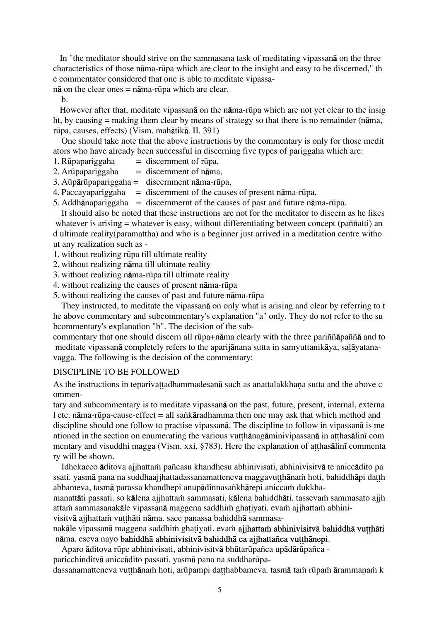In "the meditator should strive on the sammasana task of meditating vipassanå on the three characteristics of those nåma-rËpa which are clear to the insight and easy to be discerned," th e commentator considered that one is able to meditate vipassa-

 $n\bar{a}$  on the clear ones =  $n\bar{a}$  ma-rūpa which are clear.

b.

However after that, meditate vipassana on the nama-rūpa which are not yet clear to the insig ht, by causing = making them clear by means of strategy so that there is no remainder (nåma, rËpa, causes, effects) (Vism. mahåtikå. II. 391)

One should take note that the above instructions by the commentary is only for those medit ators who have already been successful in discerning five types of pariggaha which are:

- 1. Rūpapariggaha  $=$  discernment of rūpa,
- 2. Arūpapariggaha  $=$  discernment of n $\bar{a}$ ma,
- $3.$  Aūpārūpapariggaha = discernment nāma-rūpa,
- 4. Paccayapariggaha = discernment of the causes of present nāma-rūpa,
- 5. Addhānapariggaha = discernmernt of the causes of past and future nāma-rūpa.

It should also be noted that these instructions are not for the meditator to discern as he likes whatever is arising = whatever is easy, without differentiating between concept (paññatti) an d ultimate reality(paramattha) and who is a beginner just arrived in a meditation centre witho ut any realization such as -

- 1. without realizing rËpa till ultimate reality
- 2. without realizing nåma till ultimate reality
- 3. without realizing nåma-rËpa till ultimate reality
- 4. without realizing the causes of present nāma-rūpa
- 5. without realizing the causes of past and future nåma-rËpa

They instructed, to meditate the vipassanå on only what is arising and clear by referring to t he above commentary and subcommentary's explanation "a" only. They do not refer to the su bcommentary's explanation "b". The decision of the sub-

commentary that one should discern all rūpa+nāma clearly with the three pariññāpaññā and to meditate vipassanā completely refers to the aparijānana sutta in samyuttanikāya, salāyatanavagga. The following is the decision of the commentary:

#### DISCIPLINE TO BE FOLLOWED

As the instructions in teparivattadhammadesanā such as anattalakkhana sutta and the above c ommen-

tary and subcommentary is to meditate vipassanå on the past, future, present, internal, externa l etc. nāma-rūpa-cause-effect = all sankāradhamma then one may ask that which method and discipline should one follow to practise vipassanå. The discipline to follow in vipassanå is me ntioned in the section on enumerating the various vutthanagaminivipassana in atthas alini com mentary and visuddhi magga (Vism. xxi, §783). Here the explanation of atthas alini commenta ry will be shown.

Idhekacco āditova ajjhattam pañcasu khandhesu abhinivisati, abhinivisitvā te aniccādito pa ssati. yasmā pana na suddhaajjhattadassanamatteneva maggavutthānam hoti, bahiddhāpi datth abbameva, tasmā parassa khandhepi anupādinnasankhārepi aniccam dukkha-

manattāti passati. so kālena ajjhattam sammasati, kālena bahiddhāti. tassevam sammasato ajjh attam sammasanakāle vipassanā maggena saddhim ghatiyati. evam ajjhattam abhini-

visitvā ajjhattam vutthāti nāma. sace panassa bahiddhā sammasa-

nakāle vipassanā maggena saddhim ghatiyati. evam ajjhattam abhinivisitvā bahiddhā vutthāti nāma. eseva nayo bahiddhā abhinivisitvā bahiddhā ca ajjhattañca vutthānepi.

Aparo āditova rūpe abhinivisati, abhinivisitvā bhūtarūpañca upādārūpañca -

paricchinditvā aniccādito passati. yasmā pana na suddharūpa-

dassanamatteneva vutthānam hoti, arūpampi datthabbameva. tasmā tam rūpam ārammanam k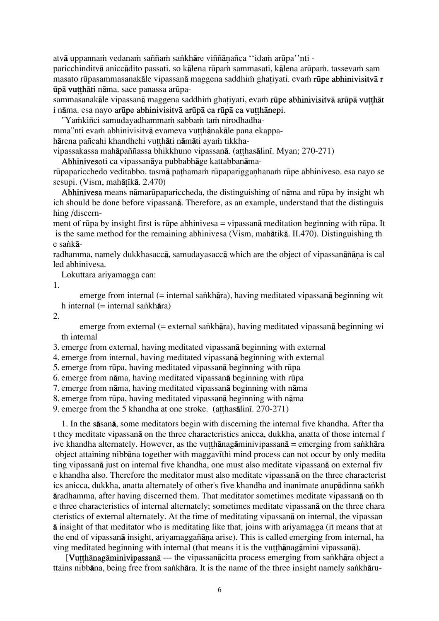atvā uppannam vedanam saññam sankhāre viññānañca "idam arūpa"nti -

paricchinditvā aniccādito passati. so kālena rūpam sammasati, kālena arūpam. tassevam sam masato rūpasammasanakāle vipassanā maggena saddhim ghativati. evam rūpe abhinivisitvā r ūpā vutthāti nāma. sace panassa arūpa-

sammasanakāle vipassanā maggena saddhim ghatiyati, evam rūpe abhinivisitvā arūpā vutthāt i nāma. esa navo arūpe abhinivisitvā arūpā ca rūpā ca vutthānepi.

"Yamkiñci samudayadhammam sabbam tam nirodhadhamma"nti evam abhinivisitvā evameva vutthānakāle pana ekappahārena pañcahi khandhehi vutthāti nāmāti ayam tikkhavipassakassa mahāpaññassa bhikkhuno vipassanā. (atthasālinī, Myan; 270-271)

Abhinivesoti ca vipassanåya pubbabhåge kattabbanåma-

rūpaparicchedo veditabbo. tasmā pathamam rūpaparigganhanam rūpe abhiniveso. esa nayo se sesupi. (Vism, mahātīkā.  $2.470$ )

Abhinivesa means nāmarūpapariccheda, the distinguishing of nāma and rūpa by insight wh ich should be done before vipassanå. Therefore, as an example, understand that the distinguis hing /discern-

ment of rūpa by insight first is rūpe abhinivesa = vipassanā meditation beginning with rūpa. It is the same method for the remaining abhinivesa (Vism, mahåtikå. II.470). Distinguishing th e sankā-

radhamma, namely dukkhasaccā, samudayasaccā which are the object of vipassanāñāna is cal led abhinivesa.

Lokuttara ariyamagga can:

1.

emerge from internal (= internal sankhāra), having meditated vipassanā beginning wit h internal  $(=$  internal sankhāra)

2.

emerge from external (= external sankhāra), having meditated vipassanā beginning wi th internal

3. emerge from external, having meditated vipassanå beginning with external

4. emerge from internal, having meditated vipassanå beginning with external

5. emerge from rËpa, having meditated vipassanå beginning with rËpa

6. emerge from nāma, having meditated vipassanā beginning with rūpa

7. emerge from nåma, having meditated vipassanå beginning with nåma

8. emerge from rūpa, having meditated vipassanā beginning with nāma

9. emerge from the 5 khandha at one stroke. (atthas $\bar{a}$ lini. 270-271)

1. In the såsanå, some meditators begin with discerning the internal five khandha. After tha t they meditate vipassanå on the three characteristics anicca, dukkha, anatta of those internal f ive khandha alternately. However, as the vutthānagāminivipassanā = emerging from sankhāra object attaining nibbāna together with maggavīthi mind process can not occur by only medita ting vipassanå just on internal five khandha, one must also meditate vipassanå on external fiv e khandha also. Therefore the meditator must also meditate vipassanå on the three characterist ics anicca, dukkha, anatta alternately of other's five khandha and inanimate anupādinna sankh åradhamma, after having discerned them. That meditator sometimes meditate vipassanå on th e three characteristics of internal alternately; sometimes meditate vipassanå on the three chara cteristics of external alternately. At the time of meditating vipassanå on internal, the vipassan å insight of that meditator who is meditating like that, joins with ariyamagga (it means that at the end of vipassanā insight, ariyamaggañāna arise). This is called emerging from internal, ha ving meditated beginning with internal (that means it is the vutthanagamini vipassana).

[Vutthānagāminivipassanā --- the vipassanācitta process emerging from sankhāra object a ttains nibbāna, being free from sankhāra. It is the name of the three insight namely sankhāru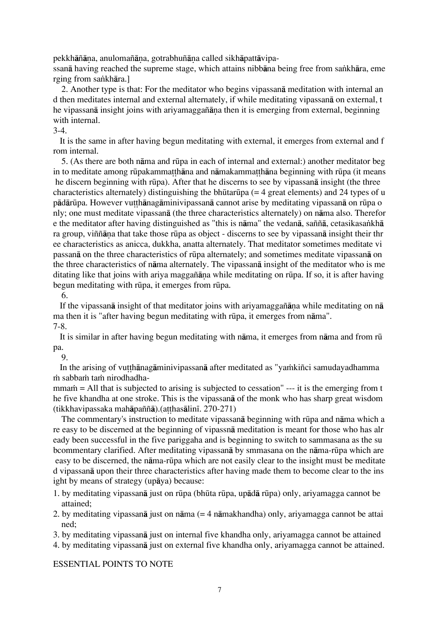pekkhāñāna, anulomañāna, gotrabhuñāna called sikhāpattāvipa-

ssanā having reached the supreme stage, which attains nibbāna being free from sankhāra, eme rging from sankhāra.]

2. Another type is that: For the meditator who begins vipassanå meditation with internal an d then meditates internal and external alternately, if while meditating vipassanå on external, t he vipassanā insight joins with ariyamaggañāna then it is emerging from external, beginning with internal.

3-4.

 It is the same in after having begun meditating with external, it emerges from external and f rom internal.

5. (As there are both nåma and rËpa in each of internal and external:) another meditator beg in to meditate among rūpakammatthāna and nāmakammatthāna beginning with rūpa (it means he discern beginning with rūpa). After that he discerns to see by vipassana insight (the three characteristics alternately) distinguishing the bhūtarūpa ( $=$  4 great elements) and 24 types of u pādārūpa. However vutthānagāminivipassanā cannot arise by meditating vipassanā on rūpa o nly; one must meditate vipassanå (the three characteristics alternately) on nåma also. Therefor e the meditator after having distinguished as "this is nāma" the vedanā, saññā, cetasikasankhā ra group, viññāna that take those rūpa as object - discerns to see by vipassanā insight their thr ee characteristics as anicca, dukkha, anatta alternately. That meditator sometimes meditate vi passanå on the three characteristics of rËpa alternately; and sometimes meditate vipassanå on the three characteristics of nåma alternately. The vipassanå insight of the meditator who is me ditating like that joins with ariya maggañāna while meditating on rūpa. If so, it is after having begun meditating with rūpa, it emerges from rūpa.

6.

If the vipassan $\bar{a}$  insight of that meditator joins with ariyamaggañ $\bar{a}$  na while meditating on n $\bar{a}$ ma then it is "after having begun meditating with rūpa, it emerges from nāma". 7-8.

It is similar in after having begun meditating with nama, it emerges from nama and from rū pa.

9.

In the arising of vutthanagaminivipassana after meditated as "yamkin ci samudayadhamma m sabbam tam nirodhadha-

 $m_{\text{min}}$  = All that is subjected to arising is subjected to cessation"  $-$ -- it is the emerging from t he five khandha at one stroke. This is the vipassanå of the monk who has sharp great wisdom  $(tikkhavi passaka mahāpaññā)$ .  $(at hasālinī. 270-271)$ 

The commentary's instruction to meditate vipassana beginning with rūpa and nāma which a re easy to be discerned at the beginning of vipassnå meditation is meant for those who has alr eady been successful in the five pariggaha and is beginning to switch to sammasana as the su bcommentary clarified. After meditating vipassana by smmasana on the nama-rūpa which are easy to be discerned, the nāma-rūpa which are not easily clear to the insight must be meditate d vipassanå upon their three characteristics after having made them to become clear to the ins ight by means of strategy (upåya) because:

- 1. by meditating vipassanå just on rËpa (bhËta rËpa, upådå rËpa) only, ariyamagga cannot be attained;
- 2. by meditating vipassanå just on nåma (= 4 nåmakhandha) only, ariyamagga cannot be attai ned;

3. by meditating vipassanå just on internal five khandha only, ariyamagga cannot be attained

4. by meditating vipassanå just on external five khandha only, ariyamagga cannot be attained.

ESSENTIAL POINTS TO NOTE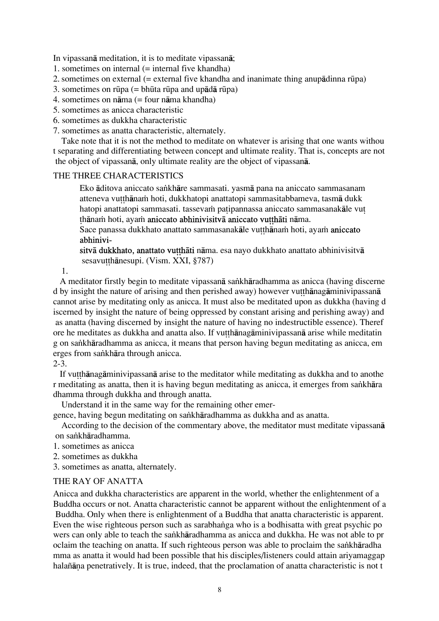In vipassanå meditation, it is to meditate vipassanå;

- 1. sometimes on internal  $($  = internal five khandha)
- 2. sometimes on external  $(=$  external five khandha and inanimate thing anupādinna rūpa)
- 3. sometimes on rūpa  $(=\text{bhūta rūpa and upādā rūpa})$
- 4. sometimes on nåma (= four nåma khandha)
- 5. sometimes as anicca characteristic
- 6. sometimes as dukkha characteristic
- 7. sometimes as anatta characteristic, alternately.

Take note that it is not the method to meditate on whatever is arising that one wants withou t separating and differentiating between concept and ultimate reality. That is, concepts are not the object of vipassanå, only ultimate reality are the object of vipassanå.

### THE THREE CHARACTERISTICS

Eko āditova aniccato sankhāre sammasati. yasmā pana na aniccato sammasanam atteneva vutthānam hoti, dukkhatopi anattatopi sammasitabbameva, tasmā dukk hatopi anattatopi sammasati. tassevam patipannassa aniccato sammasanakāle vut thānam hoti, ayam aniccato abhinivisitvā aniccato vutthāti nāma.

Sace panassa dukkhato anattato sammasanakāle vutthānam hoti, ayam aniccato abhinivi-

sitvā dukkhato, anattato vutthāti nāma. esa nayo dukkhato anattato abhinivisitvā sesavutthānesupi. (Vism. XXI, §787)

1.

A meditator firstly begin to meditate vipassanā sankhāradhamma as anicca (having discerne d by insight the nature of arising and then perished away) however vutthanagaminivipassana cannot arise by meditating only as anicca. It must also be meditated upon as dukkha (having d iscerned by insight the nature of being oppressed by constant arising and perishing away) and as anatta (having discerned by insight the nature of having no indestructible essence). Theref ore he meditates as dukkha and anatta also. If vutthanagaminivipassana arise while meditatin g on sankhāradhamma as anicca, it means that person having begun meditating as anicca, em erges from sankhāra through anicca.

# 2-3.

If vut than agaminivipassana arise to the meditator while meditating as dukkha and to anothe r meditating as anatta, then it is having begun meditating as anicca, it emerges from sankhāra dhamma through dukkha and through anatta.

Understand it in the same way for the remaining other emer-

gence, having begun meditating on sankhāradhamma as dukkha and as anatta.

According to the decision of the commentary above, the meditator must meditate vipassanå on sankhāradhamma.

- 1. sometimes as anicca
- 2. sometimes as dukkha

3. sometimes as anatta, alternately.

### THE RAY OF ANATTA

Anicca and dukkha characteristics are apparent in the world, whether the enlightenment of a Buddha occurs or not. Anatta characteristic cannot be apparent without the enlightenment of a Buddha. Only when there is enlightenment of a Buddha that anatta characteristic is apparent. Even the wise righteous person such as sarabhanga who is a bodhisatta with great psychic po wers can only able to teach the sankhāradhamma as anicca and dukkha. He was not able to pr oclaim the teaching on anatta. If such righteous person was able to proclaim the sankhāradha mma as anatta it would had been possible that his disciples/listeners could attain ariyamaggap halañāna penetratively. It is true, indeed, that the proclamation of anatta characteristic is not t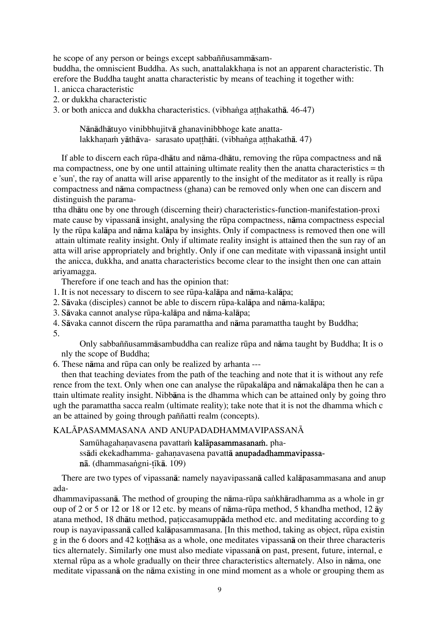he scope of any person or beings except sabbaññusammåsam-

buddha, the omniscient Buddha. As such, anattalakkhana is not an apparent characteristic. Th erefore the Buddha taught anatta characteristic by means of teaching it together with:

- 1. anicca characteristic
- 2. or dukkha characteristic
- 3. or both anicca and dukkha characteristics. (vibhanga atthakathā. 46-47)

Nånådhåtuyo vinibbhujitvå ghanavinibbhoge kate anattalakkhanam yāthāva- sarasato upatthāti. (vibhanga atthakathā. 47)

If able to discern each rūpa-dhātu and nāma-dhātu, removing the rūpa compactness and nā ma compactness, one by one until attaining ultimate reality then the anatta characteristics = th e 'sun', the ray of anatta will arise apparently to the insight of the meditator as it really is rūpa compactness and nåma compactness (ghana) can be removed only when one can discern and distinguish the parama-

ttha dhåtu one by one through (discerning their) characteristics-function-manifestation-proxi mate cause by vipassana insight, analysing the rūpa compactness, nāma compactness especial ly the rËpa kalåpa and nåma kalåpa by insights. Only if compactness is removed then one will attain ultimate reality insight. Only if ultimate reality insight is attained then the sun ray of an atta will arise appropriately and brightly. Only if one can meditate with vipassanå insight until the anicca, dukkha, and anatta characteristics become clear to the insight then one can attain ariyamagga.

Therefore if one teach and has the opinion that:

- 1. It is not necessary to discern to see rËpa-kalåpa and nåma-kalåpa;
- 2. Såvaka (disciples) cannot be able to discern rËpa-kalåpa and nåma-kalåpa;
- 3. Såvaka cannot analyse rËpa-kalåpa and nåma-kalåpa;
- 4. Såvaka cannot discern the rËpa paramattha and nåma paramattha taught by Buddha; 5.

 Only sabbaññusammåsambuddha can realize rËpa and nåma taught by Buddha; It is o nly the scope of Buddha;

6. These nåma and rËpa can only be realized by arhanta ---

then that teaching deviates from the path of the teaching and note that it is without any refe rence from the text. Only when one can analyse the rūpakalāpa and nāmakalāpa then he can a ttain ultimate reality insight. Nibbåna is the dhamma which can be attained only by going thro ugh the paramattha sacca realm (ultimate reality); take note that it is not the dhamma which c an be attained by going through paññatti realm (concepts).

# KALĀPASAMMASANA AND ANUPADADHAMMAVIPASSANĀ

Samūhagahanavasena pavattam kalāpasammasanam. phassādi ekekadhamma- gahanavasena pavattā anupadadhammavipassanā. (dhammasangni-tīkā. 109)

There are two types of vipassanå: namely nayavipassanå called kalåpasammasana and anup ada-

dhammavipassanā. The method of grouping the nāma-rūpa sankhāradhamma as a whole in gr oup of 2 or 5 or 12 or 18 or 12 etc. by means of nåma-rËpa method, 5 khandha method, 12 åy atana method, 18 dhātu method, paticcasamuppāda method etc. and meditating according to g roup is nayavipassanā called kalāpasammasana. [In this method, taking as object, rūpa existin g in the 6 doors and 42 kotthasa as a whole, one meditates vipassana on their three characteris tics alternately. Similarly one must also mediate vipassanå on past, present, future, internal, e xternal rËpa as a whole gradually on their three characteristics alternately. Also in nåma, one meditate vipassanå on the nåma existing in one mind moment as a whole or grouping them as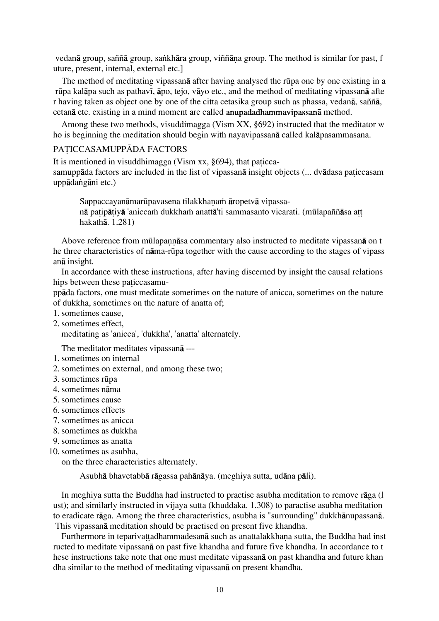vedanā group, saññā group, sankhāra group, viññāna group. The method is similar for past, f uture, present, internal, external etc.]

The method of meditating vipassana after having analysed the rūpa one by one existing in a rūpa kalāpa such as pathavī, āpo, tejo, vāyo etc., and the method of meditating vipassanā afte r having taken as object one by one of the citta cetasika group such as phassa, vedanå, saññå, cetanå etc. existing in a mind moment are called anupadadhammavipassanå method.

Among these two methods, visuddimagga (Vism XX, §692) instructed that the meditator w ho is beginning the meditation should begin with nayavipassanå called kalåpasammasana.

### PATICCASAMUPPĀDA FACTORS

It is mentioned in visuddhimagga (Vism  $xx$ , §694), that paticcasamuppāda factors are included in the list of vipassanā insight objects (... dvādasa paticcasam uppādangāni etc.)

Sappaccayanāmarūpavasena tilakkhanam āropetvā vipassanā patipātiyā 'aniccam dukkham anattā'ti sammasanto vicarati. (mūlapaññāsa att hakathå. 1.281)

Above reference from mūlapannāsa commentary also instructed to meditate vipassanā on t he three characteristics of nåma-rËpa together with the cause according to the stages of vipass anå insight.

In accordance with these instructions, after having discerned by insight the causal relations hips between these paticcasamu-

ppåda factors, one must meditate sometimes on the nature of anicca, sometimes on the nature of dukkha, sometimes on the nature of anatta of;

- 1. sometimes cause,
- 2. sometimes effect,

meditating as 'anicca', 'dukkha', 'anatta' alternately.

The meditator meditates vipassanå ---

- 1. sometimes on internal
- 2. sometimes on external, and among these two;
- 3. sometimes rËpa
- 4. sometimes nåma
- 5. sometimes cause
- 6. sometimes effects
- 7. sometimes as anicca
- 8. sometimes as dukkha
- 9. sometimes as anatta
- 10. sometimes as asubha,

on the three characteristics alternately.

Asubhå bhavetabbå rågassa pahånåya. (meghiya sutta, udåna påli).

In meghiya sutta the Buddha had instructed to practise asubha meditation to remove råga (l ust); and similarly instructed in vijaya sutta (khuddaka. 1.308) to paractise asubha meditation to eradicate råga. Among the three characteristics, asubha is "surrounding" dukkhånupassanå. This vipassanå meditation should be practised on present five khandha.

Furthermore in teparivattadhammadesanā such as anattalakkhana sutta, the Buddha had inst ructed to meditate vipassanå on past five khandha and future five khandha. In accordance to t hese instructions take note that one must meditate vipassanå on past khandha and future khan dha similar to the method of meditating vipassanå on present khandha.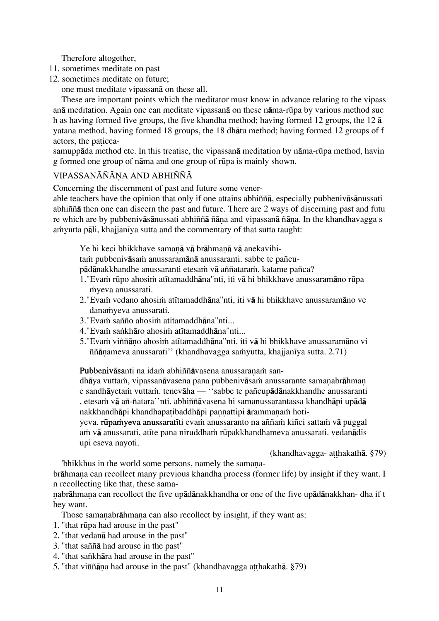Therefore altogether,

- 11. sometimes meditate on past
- 12. sometimes meditate on future;

one must meditate vipassanå on these all.

These are important points which the meditator must know in advance relating to the vipass anå meditation. Again one can meditate vipassanå on these nåma-rËpa by various method suc h as having formed five groups, the five khandha method; having formed 12 groups, the 12 å yatana method, having formed 18 groups, the 18 dhåtu method; having formed 12 groups of f actors, the paticca-

samuppāda method etc. In this treatise, the vipassanā meditation by nāma-rūpa method, havin g formed one group of nåma and one group of rËpa is mainly shown.

# VIPASSANĀÑĀNA AND ABHIÑÑĀ

Concerning the discernment of past and future some vener-

able teachers have the opinion that only if one attains abhiññå, especially pubbenivåsånussati abhiññå then one can discern the past and future. There are 2 ways of discerning past and futu re which are by pubbenivāsānussati abhiññā ñāna and vipassanā ñāna. In the khandhavagga s amyutta pāli, khajjanīya sutta and the commentary of that sutta taught:

Ye hi keci bhikkhave samanā vā brāhmanā vā anekavihitam pubbenivāsam anussaramānā anussaranti. sabbe te pañcu-

pādānakkhandhe anussaranti etesam vā aññataram. katame pañca?

- 1."Evam rūpo ahosim atītamaddhāna"nti, iti vā hi bhikkhave anussaramāno rūpa myeva anussarati.
- 2."Evam vedano ahosim atītamaddhāna"nti, iti vā hi bhikkhave anussaramāno ve danamyeva anussarati.
- 3."Evam sañño ahosim atītamaddhāna"nti...
- 4."Evam sankhāro ahosim atītamaddhāna"nti...
- 5."Evam viññāno ahosim atītamaddhāna"nti, iti vā hi bhikkhave anussaramāno vi ññānameva anussarati" (khandhavagga saṁyutta, khajjanīya sutta. 2.71)

Pubbenivāsanti na idam abhiññāvasena anussaranam san-

dhāya vuttam, vipassanāvasena pana pubbenivāsam anussarante samanabrāhman e sandhāyetam vuttam. tenevāha — "sabbe te pañcupādānakkhandhe anussaranti , etesam vā añ-ñatara''nti. abhiññāvasena hi samanussarantassa khandhāpi upādā nakkhandhāpi khandhapa tibaddhāpi pannattipi ārammanam hoti-

yeva. rūpamyeva anussaratīti evam anussaranto na aññam kiñci sattam vā puggal am vā anussarati, atīte pana niruddham rūpakkhandhameva anussarati. vedanādīs upi eseva nayoti.

(khandhavagga- atthakathā. §79)

'bhikkhus in the world some persons, namely the samana-

brāhmana can recollect many previous khandha process (former life) by insight if they want. I n recollecting like that, these sama-

nabrāhmana can recollect the five upādānakkhandha or one of the five upādānakkhan- dha if t hey want.

Those samanabrāhmana can also recollect by insight, if they want as:

- 1. "that rËpa had arouse in the past"
- 2. "that vedanå had arouse in the past"
- 3. "that saññå had arouse in the past"
- 4. "that sankhāra had arouse in the past"
- 5. "that viññāna had arouse in the past" (khandhavagga atthakathā. §79)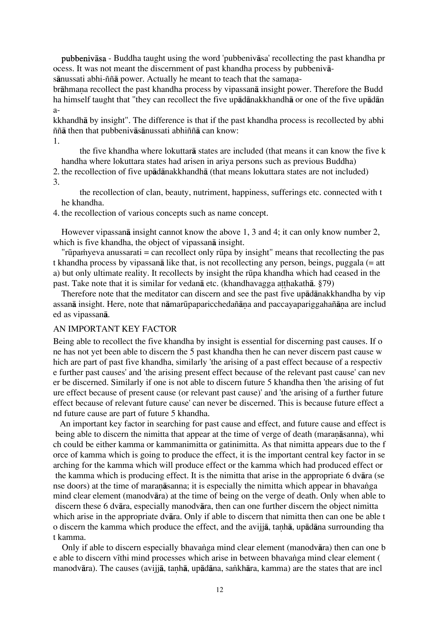pubbenivåsa - Buddha taught using the word 'pubbenivåsa' recollecting the past khandha pr ocess. It was not meant the discernment of past khandha process by pubbenivå-

sānussati abhi-ññā power. Actually he meant to teach that the samana-

brāhmana recollect the past khandha process by vipassanā insight power. Therefore the Budd ha himself taught that "they can recollect the five upådånakkhandhå or one of the five upådån a-

kkhandhå by insight". The difference is that if the past khandha process is recollected by abhi ññå then that pubbenivåsånussati abhiññå can know:

1.

 the five khandha where lokuttarå states are included (that means it can know the five k handha where lokuttara states had arisen in ariya persons such as previous Buddha)

2. the recollection of five upådånakkhandhå (that means lokuttara states are not included) 3.

 the recollection of clan, beauty, nutriment, happiness, sufferings etc. connected with t he khandha.

4. the recollection of various concepts such as name concept.

However vipassanå insight cannot know the above 1, 3 and 4; it can only know number 2, which is five khandha, the object of vipassanå insight.

"rūpa $\dot{m}$ yeva anussarati = can recollect only rūpa by insight" means that recollecting the pas t khandha process by vipassanå like that, is not recollecting any person, beings, puggala (= att a) but only ultimate reality. It recollects by insight the rūpa khandha which had ceased in the past. Take note that it is similar for vedana etc. (khandhavagga atthakatha, §79)

Therefore note that the meditator can discern and see the past five upådånakkhandha by vip assanā insight. Here, note that nāmarūpaparicchedañāna and paccayapariggahañāna are includ ed as vipassanå.

### AN IMPORTANT KEY FACTOR

Being able to recollect the five khandha by insight is essential for discerning past causes. If o ne has not yet been able to discern the 5 past khandha then he can never discern past cause w hich are part of past five khandha, similarly 'the arising of a past effect because of a respectiv e further past causes' and 'the arising present effect because of the relevant past cause' can nev er be discerned. Similarly if one is not able to discern future 5 khandha then 'the arising of fut ure effect because of present cause (or relevant past cause)' and 'the arising of a further future effect because of relevant future cause' can never be discerned. This is because future effect a nd future cause are part of future 5 khandha.

An important key factor in searching for past cause and effect, and future cause and effect is being able to discern the nimitta that appear at the time of verge of death (maranāsanna), whi ch could be either kamma or kammanimitta or gatinimitta. As that nimitta appears due to the f orce of kamma which is going to produce the effect, it is the important central key factor in se arching for the kamma which will produce effect or the kamma which had produced effect or the kamma which is producing effect. It is the nimitta that arise in the appropriate 6 dvåra (se nse doors) at the time of maranāsanna; it is especially the nimitta which appear in bhavanga mind clear element (manodvåra) at the time of being on the verge of death. Only when able to discern these 6 dvåra, especially manodvåra, then can one further discern the object nimitta which arise in the appropriate dvåra. Only if able to discern that nimitta then can one be able t o discern the kamma which produce the effect, and the avijia, tanha, upadana surrounding tha t kamma.

Only if able to discern especially bhavanga mind clear element (manodvāra) then can one b e able to discern vīthi mind processes which arise in between bhavanga mind clear element ( manodvāra). The causes (avijjā, tanhā, upādāna, sankhāra, kamma) are the states that are incl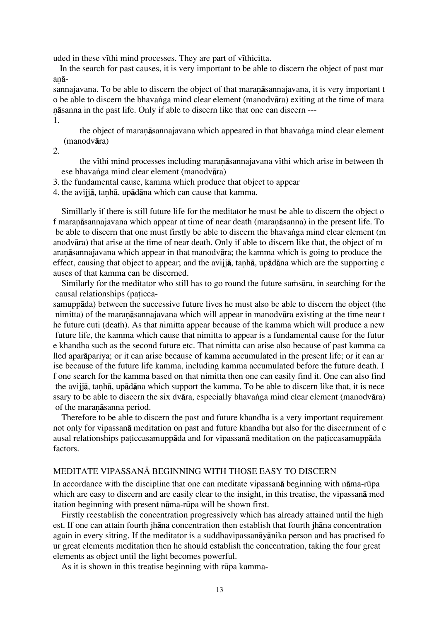uded in these vīthi mind processes. They are part of vīthicitta.

In the search for past causes, it is very important to be able to discern the object of past mar anā-

sannajavana. To be able to discern the object of that maranasannajavana, it is very important t o be able to discern the bhavanga mind clear element (manodvāra) exiting at the time of mara ˆåsanna in the past life. Only if able to discern like that one can discern --- 1.

the object of maranāsannajavana which appeared in that bhavanga mind clear element (manodvåra)

 $2^{\circ}$ 

the vīthi mind processes including maranāsannajavana vīthi which arise in between th ese bhavanga mind clear element (manodvāra)

3. the fundamental cause, kamma which produce that object to appear

4. the avijiā, tanhā, upādāna which can cause that kamma.

Simillarly if there is still future life for the meditator he must be able to discern the object o f maranāsannajavana which appear at time of near death (maranāsanna) in the present life. To be able to discern that one must firstly be able to discern the bhavanga mind clear element (m anodvåra) that arise at the time of near death. Only if able to discern like that, the object of m aranāsannajavana which appear in that manodvāra; the kamma which is going to produce the effect, causing that object to appear; and the avijja, tanha, upadana which are the supporting c auses of that kamma can be discerned.

Similarly for the meditator who still has to go round the future sams area, in searching for the causal relationships (paticca-

samuppåda) between the successive future lives he must also be able to discern the object (the nimitta) of the maranāsannajavana which will appear in manodvāra existing at the time near t he future cuti (death). As that nimitta appear because of the kamma which will produce a new future life, the kamma which cause that nimitta to appear is a fundamental cause for the futur e khandha such as the second future etc. That nimitta can arise also because of past kamma ca lled aparåpariya; or it can arise because of kamma accumulated in the present life; or it can ar ise because of the future life kamma, including kamma accumulated before the future death. I f one search for the kamma based on that nimitta then one can easily find it. One can also find the avijia, tanhā, upādāna which support the kamma. To be able to discern like that, it is nece ssary to be able to discern the six dvāra, especially bhavanga mind clear element (manodvāra) of the maranasanna period.

Therefore to be able to discern the past and future khandha is a very important requirement not only for vipassanå meditation on past and future khandha but also for the discernment of c ausal relationships paticcasamuppāda and for vipassanā meditation on the paticcasamuppāda factors.

### MEDITATE VIPASSANĀ BEGINNING WITH THOSE EASY TO DISCERN

In accordance with the discipline that one can meditate vipassanå beginning with nåma-rËpa which are easy to discern and are easily clear to the insight, in this treatise, the vipassanå med itation beginning with present nāma-rūpa will be shown first.

Firstly reestablish the concentration progressively which has already attained until the high est. If one can attain fourth jhåna concentration then establish that fourth jhåna concentration again in every sitting. If the meditator is a suddhavipassanåyånika person and has practised fo ur great elements meditation then he should establish the concentration, taking the four great elements as object until the light becomes powerful.

As it is shown in this treatise beginning with rūpa kamma-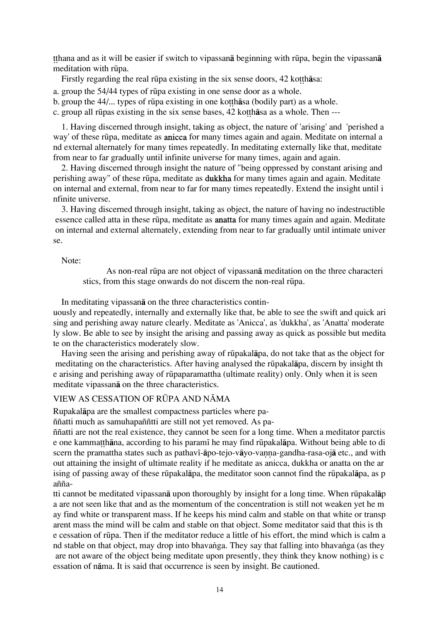tthana and as it will be easier if switch to vipassana beginning with rūpa, begin the vipassana meditation with rūpa.

Firstly regarding the real rūpa existing in the six sense doors, 42 kotthasa:

a. group the 54/44 types of rËpa existing in one sense door as a whole.

b. group the 44/... types of rūpa existing in one kotthasa (bodily part) as a whole.

c. group all rūpas existing in the six sense bases, 42 ko thāsa as a whole. Then ---

1. Having discerned through insight, taking as object, the nature of 'arising' and 'perished a way' of these rËpa, meditate as anicca for many times again and again. Meditate on internal a nd external alternately for many times repeatedly. In meditating externally like that, meditate from near to far gradually until infinite universe for many times, again and again.

2. Having discerned through insight the nature of "being oppressed by constant arising and perishing away" of these rūpa, meditate as **dukkha** for many times again and again. Meditate on internal and external, from near to far for many times repeatedly. Extend the insight until i nfinite universe.

3. Having discerned through insight, taking as object, the nature of having no indestructible essence called atta in these rūpa, meditate as **anatta** for many times again and again. Meditate on internal and external alternately, extending from near to far gradually until intimate univer se.

Note:

 As non-real rËpa are not object of vipassanå meditation on the three characteri stics, from this stage onwards do not discern the non-real rūpa.

In meditating vipassanå on the three characteristics contin-

uously and repeatedly, internally and externally like that, be able to see the swift and quick ari sing and perishing away nature clearly. Meditate as 'Anicca', as 'dukkha', as 'Anatta' moderate ly slow. Be able to see by insight the arising and passing away as quick as possible but medita te on the characteristics moderately slow.

Having seen the arising and perishing away of rËpakalåpa, do not take that as the object for meditating on the characteristics. After having analysed the rūpakalāpa, discern by insight th e arising and perishing away of rËpaparamattha (ultimate reality) only. Only when it is seen meditate vipassanå on the three characteristics.

### VIEW AS CESSATION OF RŪPA AND NĀMA

Rupakalåpa are the smallest compactness particles where pa-

ññatti much as samuhapaññtti are still not yet removed. As pa-

ññatti are not the real existence, they cannot be seen for a long time. When a meditator parctis e one kammatthāna, according to his paramī he may find rūpakalāpa. Without being able to di scern the pramattha states such as pathav<sub>1</sub>-āpo-tejo-vāvo-vanna-gandha-rasa-ojā etc., and with out attaining the insight of ultimate reality if he meditate as anicca, dukkha or anatta on the ar ising of passing away of these rūpakalāpa, the meditator soon cannot find the rūpakalāpa, as p añña-

tti cannot be meditated vipassan**ā** upon thoroughly by insight for a long time. When rūpakal**āp** a are not seen like that and as the momentum of the concentration is still not weaken yet he m ay find white or transparent mass. If he keeps his mind calm and stable on that white or transp arent mass the mind will be calm and stable on that object. Some meditator said that this is th e cessation of rËpa. Then if the meditator reduce a little of his effort, the mind which is calm a nd stable on that object, may drop into bhavanga. They say that falling into bhavanga (as they are not aware of the object being meditate upon presently, they think they know nothing) is c essation of nåma. It is said that occurrence is seen by insight. Be cautioned.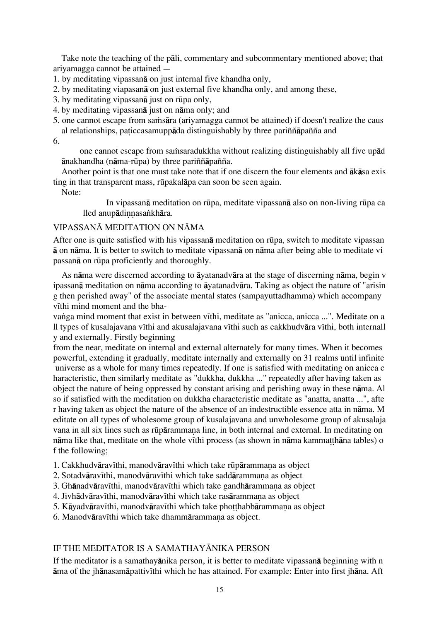Take note the teaching of the påli, commentary and subcommentary mentioned above; that ariyamagga cannot be attained --

- 1. by meditating vipassanå on just internal five khandha only,
- 2. by meditating viapasanå on just external five khandha only, and among these,
- 3. by meditating vipassana just on rūpa only,
- 4. by meditating vipassanå just on nåma only; and
- 5. one cannot escape from samisara (ariyamagga cannot be attained) if doesn't realize the caus al relationships, paticcasamuppāda distinguishably by three pariññāpañña and

6.

one cannot escape from samsaradukkha without realizing distinguishably all five upad ånakhandha (nåma-rËpa) by three pariññåpañña.

Another point is that one must take note that if one discern the four elements and åkåsa exis ting in that transparent mass, rËpakalåpa can soon be seen again.

Note:

 In vipassanå meditation on rËpa, meditate vipassanå also on non-living rËpa ca lled anupādinnasankhāra.

### VIPASSANĀ MEDITATION ON NĀMA

After one is quite satisfied with his vipassana meditation on rūpa, switch to meditate vipassan å on nåma. It is better to switch to meditate vipassanå on nåma after being able to meditate vi passanå on rËpa proficiently and thoroughly.

As nåma were discerned according to åyatanadvåra at the stage of discerning nåma, begin v ipassanå meditation on nåma according to åyatanadvåra. Taking as object the nature of "arisin g then perished away" of the associate mental states (sampayuttadhamma) which accompany vīthi mind moment and the bha-

vanga mind moment that exist in between vīthi, meditate as "anicca, anicca ...". Meditate on a ll types of kusalajavana vīthi and akusalajavana vīthi such as cakkhudvāra vīthi, both internall y and externally. Firstly beginning

from the near, meditate on internal and external alternately for many times. When it becomes powerful, extending it gradually, meditate internally and externally on 31 realms until infinite universe as a whole for many times repeatedly. If one is satisfied with meditating on anicca c haracteristic, then similarly meditate as "dukkha, dukkha ..." repeatedly after having taken as object the nature of being oppressed by constant arising and perishing away in these nåma. Al so if satisfied with the meditation on dukkha characteristic meditate as "anatta, anatta ...", afte r having taken as object the nature of the absence of an indestructible essence atta in nåma. M editate on all types of wholesome group of kusalajavana and unwholesome group of akusalaja vana in all six lines such as rūpārammana line, in both internal and external. In meditating on nāma like that, meditate on the whole vīthi process (as shown in nāma kammatthāna tables) o f the following;

- 1. Cakkhudvāravīthi, manodvāravīthi which take rūpārammana as object
- 2. Sotadvāravīthi, manodvāravīthi which take saddārammana as object
- 3. Ghānadvāravīthi, manodvāravīthi which take gandhārammana as object
- 4. Jivhādvāravīthi, manodvāravīthi which take rasārammana as object
- 5. Kāyadvāravīthi, manodvāravīthi which take photthabbārammana as object
- 6. Manodvāravīthi which take dhammārammana as object.

# IF THE MEDITATOR IS A SAMATHAYĀNIKA PERSON

If the meditator is a samathayånika person, it is better to meditate vipassanå beginning with n åma of the jhånasamåpattiv¥thi which he has attained. For example: Enter into first jhåna. Aft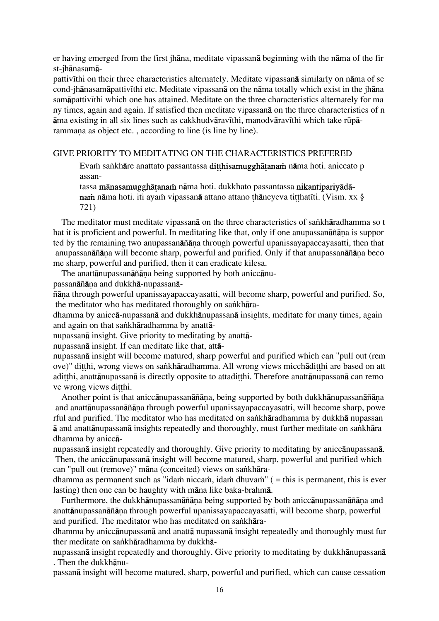er having emerged from the first jhåna, meditate vipassanå beginning with the nåma of the fir st-jhånasamå-

pattivīthi on their three characteristics alternately. Meditate vipassanā similarly on nāma of se cond-jhānasamāpattivīthi etc. Meditate vipassanā on the nāma totally which exist in the jhāna samāpattivīthi which one has attained. Meditate on the three characteristics alternately for ma ny times, again and again. If satisfied then meditate vipassanå on the three characteristics of n āma existing in all six lines such as cakkhudvāravīthi, manodvāravīthi which take rūpārammana as object etc., according to line (is line by line).

### GIVE PRIORITY TO MEDITATING ON THE CHARACTERISTICS PREFERED

Evam sankhāre anattato passantassa ditthisamugghātanam nāma hoti. aniccato p assan-

tassa mānasamugghātanam nāma hoti. dukkhato passantassa nikantipariyādānam nāma hoti. iti ayam vipassanā attano attano thāneyeva titthatīti. (Vism. xx § 721)

The meditator must meditate vipassanā on the three characteristics of sankhāradhamma so t hat it is proficient and powerful. In meditating like that, only if one anupassan $\tilde{a}$ ñana is suppor ted by the remaining two anupassanāñāna through powerful upanissayapaccayasatti, then that anupassanāñāṇa will become sharp, powerful and purified. Only if that anupassanāñāṇa beco me sharp, powerful and purified, then it can eradicate kilesa.

The anattānupassanāñāna being supported by both aniccānu-

passanāñāna and dukkhā-nupassanā-

ñåˆa through powerful upanissayapaccayasatti, will become sharp, powerful and purified. So, the meditator who has meditated thoroughly on sankhāra-

dhamma by aniccå-nupassanå and dukkhånupassanå insights, meditate for many times, again and again on that sankhāradhamma by anattā-

nupassanå insight. Give priority to meditating by anattå-

nupassanå insight. If can meditate like that, attå-

nupassanå insight will become matured, sharp powerful and purified which can "pull out (rem ove)" ditthi, wrong views on sankhāradhamma. All wrong views micchādi tthi are based on att aditthi, anattānupassanā is directly opposite to attaditthi. Therefore anattānupassanā can remo ve wrong views ditthi.

Another point is that aniccānupassanāñāṇa, being supported by both dukkhānupassanāñāṇa and anattānupassanāñāna through powerful upanissayapaccayasatti, will become sharp, powe rful and purified. The meditator who has meditated on sankhāradhamma by dukkhā nupassan ā and anattānupassanā insights repeatedly and thoroughly, must further meditate on sankhāra dhamma by aniccå-

nupassanå insight repeatedly and thoroughly. Give priority to meditating by aniccånupassanå. Then, the aniccånupassanå insight will become matured, sharp, powerful and purified which can "pull out (remove)" māna (conceited) views on sankhāra-

dhamma as permanent such as "idam niccam, idam dhuvam" ( $=$  this is permanent, this is ever lasting) then one can be haughty with måna like baka-brahmå.

Furthermore, the dukkhānupassanāñāna being supported by both aniccānupassanāñāna and anattānupassanāñāna through powerful upanissayapaccayasatti, will become sharp, powerful and purified. The meditator who has meditated on sankhāra-

dhamma by aniccånupassanå and anattå nupassanå insight repeatedly and thoroughly must fur ther meditate on sankhāradhamma by dukkhā-

nupassanå insight repeatedly and thoroughly. Give priority to meditating by dukkhånupassanå . Then the dukkhånu-

passanå insight will become matured, sharp, powerful and purified, which can cause cessation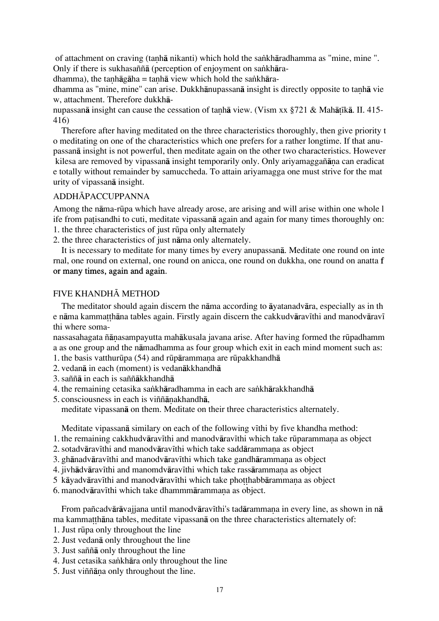of attachment on craving (tanhā nikanti) which hold the sankhāradhamma as "mine, mine ". Only if there is sukhasaññā (perception of enjoyment on sankhāra-

dhamma), the tanhāgāha = tanhā view which hold the sankhāra-

dhamma as "mine, mine" can arise. Dukkhānupassanā insight is directly opposite to tanhā vie w, attachment. Therefore dukkhå-

nupassanā insight can cause the cessation of tanhā view. (Vism xx  $8721 \&$  Mahātīkā. II. 415-416)

Therefore after having meditated on the three characteristics thoroughly, then give priority t o meditating on one of the characteristics which one prefers for a rather longtime. If that anupassanå insight is not powerful, then meditate again on the other two characteristics. However kilesa are removed by vipassanā insight temporarily only. Only ariyamaggañāna can eradicat e totally without remainder by samuccheda. To attain ariyamagga one must strive for the mat urity of vipassanå insight.

### **ADDHĀPACCUPPANNA**

Among the nåma-rËpa which have already arose, are arising and will arise within one whole l ife from patisandhi to cuti, meditate vipassanā again and again for many times thoroughly on: 1. the three characteristics of just rËpa only alternately

2. the three characteristics of just nåma only alternately.

It is necessary to meditate for many times by every anupassanå. Meditate one round on inte rnal, one round on external, one round on anicca, one round on dukkha, one round on anatta f or many times, again and again.

### FIVE KHANDHĀ METHOD

The meditator should again discern the nåma according to åyatanadvåra, especially as in th e nāma kammatthāna tables again. Firstly again discern the cakkudvāravīthi and manodvāravī thi where soma-

nassasahagata ñānasampayutta mahākusala javana arise. After having formed the rūpadhamm a as one group and the nåmadhamma as four group which exit in each mind moment such as:

- 1. the basis vatthur $\bar{u}$ pa (54) and r $\bar{u}$ pārammana are rūpakkhandhā
- 2. vedanå in each (moment) is vedanåkkhandhå
- 3. saññå in each is saññåkkhandhå
- 4. the remaining cetasika sankhāradhamma in each are sankhārakkhandhā
- 5. consciousness in each is viññānakhandhā,

meditate vipassanå on them. Meditate on their three characteristics alternately.

Meditate vipassanā similary on each of the following vīthi by five khandha method:

- 1. the remaining cakkhudvāravīthi and manodvāravīthi which take rūparammana as object
- 2. sotadvāravīthi and manodvāravīthi which take saddārammana as object
- 3. ghānadvāravīthi and manodvāravīthi which take gandhārammana as object
- 4. jivhādvāravīthi and manomdvāravīthi which take rassārammana as object
- 5 kāyadvāravīthi and manodvāravīthi which take photthabbārammana as object
- 6. manodvāravīthi which take dhammmārammana as object.

From pañcadvārāvajjana until manodvāravīthi's tadārammana in every line, as shown in nā ma kammatthāna tables, meditate vipassanā on the three characteristics alternately of:

- 1. Just rËpa only throughout the line
- 2. Just vedanå only throughout the line
- 3. Just saññå only throughout the line
- 4. Just cetasika sankhāra only throughout the line
- 5. Just viññāna only throughout the line.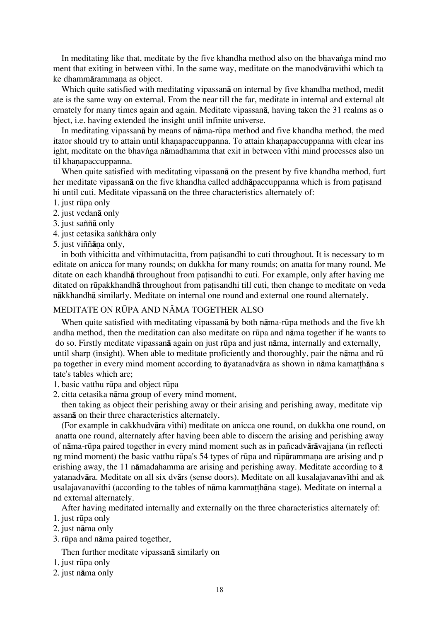In meditating like that, meditate by the five khandha method also on the bhavanga mind mo ment that exiting in between vīthi. In the same way, meditate on the manodvāravīthi which ta ke dhammārammana as object.

Which quite satisfied with meditating vipassanå on internal by five khandha method, medit ate is the same way on external. From the near till the far, meditate in internal and external alt ernately for many times again and again. Meditate vipassanå, having taken the 31 realms as o bject, i.e. having extended the insight until infinite universe.

In meditating vipassanā by means of nāma-rūpa method and five khandha method, the med itator should try to attain until khanapaccuppanna. To attain khanapaccuppanna with clear ins ight, meditate on the bhavnga nāmadhamma that exit in between vīthi mind processes also un til khanapaccuppanna.

When quite satisfied with meditating vipassanå on the present by five khandha method, furt her meditate vipassana on the five khandha called addhapaccuppanna which is from patisand hi until cuti. Meditate vipassanå on the three characteristics alternately of:

- 1. just rËpa only
- 2. just vedanå only
- 3. just saññå only
- 4. just cetasika sankhāra only
- 5. just viññāna only,

in both vīthicitta and vīthimutacitta, from patisandhi to cuti throughout. It is necessary to m editate on anicca for many rounds; on dukkha for many rounds; on anatta for many round. Me ditate on each khandhā throughout from patisandhi to cuti. For example, only after having me ditated on rūpakkhandhā throughout from patisandhi till cuti, then change to meditate on veda nåkkhandhå similarly. Meditate on internal one round and external one round alternately.

### MEDITATE ON RŪPA AND NĀMA TOGETHER ALSO

When quite satisfied with meditating vipassana by both nama-rūpa methods and the five kh andha method, then the meditation can also meditate on rËpa and nåma together if he wants to do so. Firstly meditate vipassanå again on just rËpa and just nåma, internally and externally, until sharp (insight). When able to meditate proficiently and thoroughly, pair the nāma and rū pa together in every mind moment according to  $\bar{a}$  vatanadv $\bar{a}$ ra as shown in n $\bar{a}$ ma kamatth $\bar{a}$ na s tate's tables which are;

1. basic vatthu rūpa and object rūpa

2. citta cetasika nåma group of every mind moment,

then taking as object their perishing away or their arising and perishing away, meditate vip assanå on their three characteristics alternately.

(For example in cakkhudvāra vīthi) meditate on anicca one round, on dukkha one round, on anatta one round, alternately after having been able to discern the arising and perishing away of nåma-rËpa paired together in every mind moment such as in pañcadvåråvajjana (in reflecti ng mind moment) the basic vatthu rūpa's 54 types of rūpa and rūpārammana are arising and p erishing away, the 11 nåmadahamma are arising and perishing away. Meditate according to å yatanadvāra. Meditate on all six dvārs (sense doors). Meditate on all kusalajavanavīthi and ak usalajavanavīthi (according to the tables of nāma kammatthāna stage). Meditate on internal a nd external alternately.

After having meditated internally and externally on the three characteristics alternately of:

- 1. just rËpa only
- 2. just nåma only
- 3. rūpa and nāma paired together,

Then further meditate vipassanå similarly on

- 1. just rūpa only
- 2. just nåma only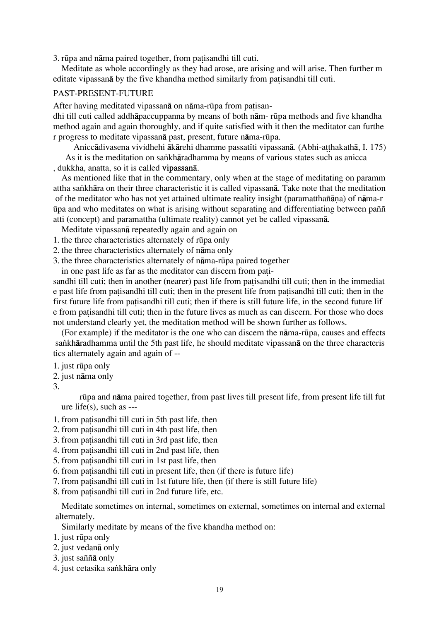3. rūpa and nāma paired together, from patisandhi till cuti.

Meditate as whole accordingly as they had arose, are arising and will arise. Then further m editate vipassana by the five khandha method similarly from patisandhi till cuti.

### PAST-PRESENT-FUTURE

After having meditated vipassanā on nāma-rūpa from patisan-

dhi till cuti called addhåpaccuppanna by means of both nåm- rËpa methods and five khandha method again and again thoroughly, and if quite satisfied with it then the meditator can furthe r progress to meditate vipassanå past, present, future nåma-rËpa.

Aniccādivasena vividhehi ākārehi dhamme passatīti vipassanā. (Abhi-atthakathā, I. 175) As it is the meditation on sankhāradhamma by means of various states such as anicca

, dukkha, anatta, so it is called vipassanå.

As mentioned like that in the commentary, only when at the stage of meditating on paramm attha sa∫khåra on their three characteristic it is called vipassanå. Take note that the meditation of the meditator who has not yet attained ultimate reality insight (paramatthañāna) of nāma-r Ëpa and who meditates on what is arising without separating and differentiating between paññ atti (concept) and paramattha (ultimate reality) cannot yet be called vipassanå.

Meditate vipassanå repeatedly again and again on

1. the three characteristics alternately of rËpa only

2. the three characteristics alternately of nåma only

3. the three characteristics alternately of nåma-rËpa paired together

in one past life as far as the meditator can discern from pati-

sandhi till cuti; then in another (nearer) past life from patisandhi till cuti; then in the immediat e past life from patisandhi till cuti; then in the present life from patisandhi till cuti; then in the first future life from patisandhi till cuti; then if there is still future life, in the second future lif e from patisandhi till cuti; then in the future lives as much as can discern. For those who does not understand clearly yet, the meditation method will be shown further as follows.

(For example) if the meditator is the one who can discern the nåma-rËpa, causes and effects sankhāradhamma until the 5th past life, he should meditate vipassanā on the three characteris tics alternately again and again of --

- 1. just rūpa only
- 2. just nåma only

3.

rūpa and nāma paired together, from past lives till present life, from present life till fut ure life $(s)$ , such as ---

- 1. from patisandhi till cuti in 5th past life, then
- 2. from patisandhi till cuti in 4th past life, then
- 3. from patisandhi till cuti in 3rd past life, then
- 4. from patisandhi till cuti in 2nd past life, then
- 5. from patisandhi till cuti in 1st past life, then
- 6. from patisandhi till cuti in present life, then (if there is future life)
- 7. from patisandhi till cuti in 1st future life, then (if there is still future life)
- 8. from patisandhi till cuti in 2nd future life, etc.

Meditate sometimes on internal, sometimes on external, sometimes on internal and external alternately.

Similarly meditate by means of the five khandha method on:

1. just rūpa only

2. just vedanå only

3. just saññå only

4. just cetasika sankhāra only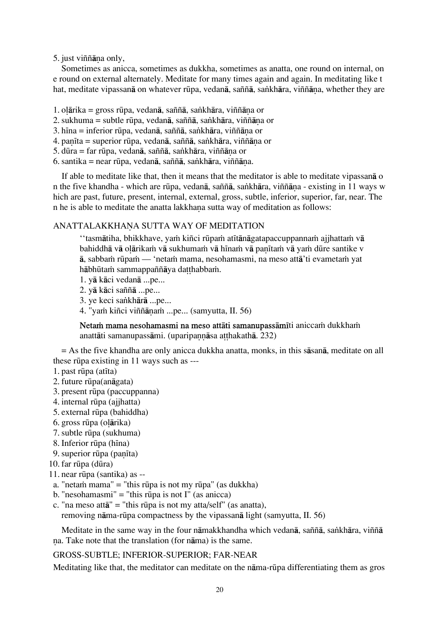5. just viññāna only,

Sometimes as anicca, sometimes as dukkha, sometimes as anatta, one round on internal, on e round on external alternately. Meditate for many times again and again. In meditating like t hat, meditate vipassanā on whatever rūpa, vedanā, saññā, sankhāra, viññāna, whether they are

- 1. o $\alpha$ ärika = gross rūpa, vedanā, saññā, saṅkhāra, viññāna or
- 2. sukhuma = subtle rūpa, vedanā, saññā, sankhāra, viññāna or
- 3. hīna = inferior rūpa, vedanā, saññā, saṅkhāra, viññāna or
- 4. panīta = superior rūpa, vedanā, saññā, saṅkhāra, viññāna or
- 5. dūra = far rūpa, vedanā, saññā, saṅkhāra, viññāna or
- 6. santika = near rūpa, vedanā, saññā, sankhāra, viññāna.

If able to meditate like that, then it means that the meditator is able to meditate vipassanå o n the five khandha - which are rūpa, vedanā, saññā, saṅkhāra, viññāna - existing in 11 ways w hich are past, future, present, internal, external, gross, subtle, inferior, superior, far, near. The n he is able to meditate the anatta lakkhana sutta way of meditation as follows:

### ANATTALAKKHANA SUTTA WAY OF MEDITATION

''tasmātiha, bhikkhave, yam kiñci rūpam atītānāgatapaccuppannam ajjhattam vā bahiddhā vā olārikam vā sukhumam vā hīnam vā panītam vā yam dūre santike v ā, sabbam rūpam — 'netam mama, nesohamasmi, na meso attā'ti evametam yat hābhūtam sammappaññāya datthabbam.

- 1. yå kåci vedanå ...pe...
- 2. yå kåci saññå ...pe...
- 3. ye keci sankhārā ...pe...
- 4. "yam kiñci viññānam ...pe... (samyutta, II. 56)

Netam mama nesohamasmi na meso attāti samanupassāmīti aniccam dukkham anattāti samanupassāmi. (uparipannāsa atthakathā. 232)

= As the five khandha are only anicca dukkha anatta, monks, in this såsanå, meditate on all these rūpa existing in 11 ways such as ---

- $1.$  past rūpa (atīta)
- 2. future rūpa(anāgata)
- 3. present rËpa (paccuppanna)
- 4. internal rËpa (ajjhatta)
- 5. external rËpa (bahiddha)
- 6. gross rūpa (olārika)
- 7. subtle rËpa (sukhuma)
- 8. Inferior rūpa (hīna)
- 9. superior rūpa (panīta)
- 10. far rūpa (dūra)
- 11. near rËpa (santika) as --
- a. "neta $\dot{m}$  mama" = "this rūpa is not my rūpa" (as dukkha)
- b. "nesohamasmi" = "this rūpa is not  $I''$  (as anicca)
- c. "na meso att $\bar{a}$ " = "this rūpa is not my atta/self" (as anatta), removing nåma-rËpa compactness by the vipassanå light (samyutta, II. 56)

Meditate in the same way in the four nāmakkhandha which vedanā, saññā, sankhāra, viññā na. Take note that the translation (for nāma) is the same.

#### GROSS-SUBTLE; INFERIOR-SUPERIOR; FAR-NEAR

Meditating like that, the meditator can meditate on the n<del>ama</del>-rūpa differentiating them as gros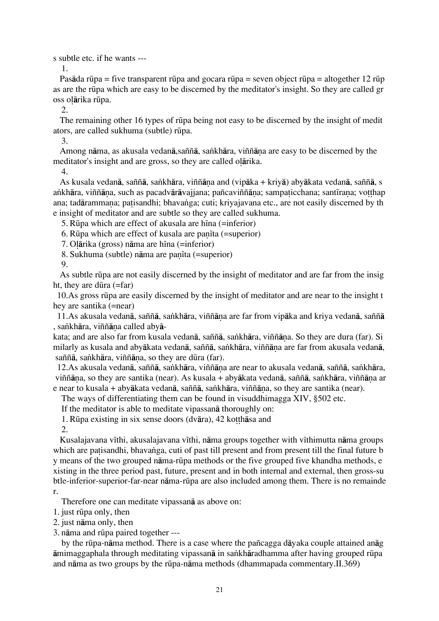s subtle etc. if he wants ---

1.

Pasāda rūpa = five transparent rūpa and gocara rūpa = seven object rūpa = altogether 12 rūp as are the rūpa which are easy to be discerned by the meditator's insight. So they are called gr oss olārika rūpa.

2.

The remaining other 16 types of rūpa being not easy to be discerned by the insight of medit ators, are called sukhuma (subtle) rūpa.

3.

Among nāma, as akusala vedanā, saññā, saṅkhāra, viññāna are easy to be discerned by the meditator's insight and are gross, so they are called olarika.

4.

As kusala vedanā, saññā, sankhāra, viññāna and (vipāka + krivā) abyākata vedanā, saññā, s ankhāra, viññāṇa, such as pacadvārāvajjana; pañcaviññāna; sampaticchana; santīrana; votthap ana; tadārammana; patisandhi; bhavanga; cuti; kriyajavana etc., are not easily discerned by th e insight of meditator and are subtle so they are called sukhuma.

5. Rūpa which are effect of akusala are hīna  $(=$ inferior)

6. Rūpa which are effect of kusala are panīta ( $=$ superior)

7. Olārika (gross) nāma are hīna (=inferior)

8. Sukhuma (subtle) nāma are panīta ( $=$ superior)

9.

As subtle rūpa are not easily discerned by the insight of meditator and are far from the insig ht, they are dūra  $(=\text{far})$ 

10.As gross rËpa are easily discerned by the insight of meditator and are near to the insight t hey are santika (=near)

11.As akusala vedanā, saññā, saṅkhāra, viññāṇa are far from vipāka and kriya vedanā, saññā , sankhāra, viññāna called abyā-

kata; and are also far from kusala vedanā, saññā, saṅkhāra, viññāna. So they are dura (far). Si milarly as kusala and abyākata vedanā, saññā, saṅkhāra, viññāna are far from akusala vedanā, saññā, sankhāra, viññāna, so they are dūra (far).

12.As akusala vedanā, saññā, sankhāra, viññāna are near to akusala vedanā, saññā, sankhāra, viññāna, so they are santika (near). As kusala + abyākata vedanā, saññā, saṅkhāra, viññāna ar e near to kusala + abyākata vedanā, saññā, saṅkhāra, viññāna, so they are santika (near).

The ways of differentiating them can be found in visuddhimagga XIV, §502 etc.

If the meditator is able to meditate vipassanå thoroughly on:

1. Rūpa existing in six sense doors (dv $\bar{a}$ ra), 42 kotth $\bar{a}$ sa and

2.

Kusalajavana vīthi, akusalajavana vīthi, nāma groups together with vīthimutta nāma groups which are patisandhi, bhavanga, cuti of past till present and from present till the final future b y means of the two grouped nåma-rËpa methods or the five grouped five khandha methods, e xisting in the three period past, future, present and in both internal and external, then gross-su btle-inferior-superior-far-near nåma-rËpa are also included among them. There is no remainde r.

Therefore one can meditate vipassanå as above on:

1. just rËpa only, then

2. just nåma only, then

3. nåma and rËpa paired together ---

by the rËpa-nåma method. There is a case where the pañcagga dåyaka couple attained anåg āmimaggaphala through meditating vipassanā in sankhāradhamma after having grouped rūpa and nåma as two groups by the rËpa-nåma methods (dhammapada commentary.II.369)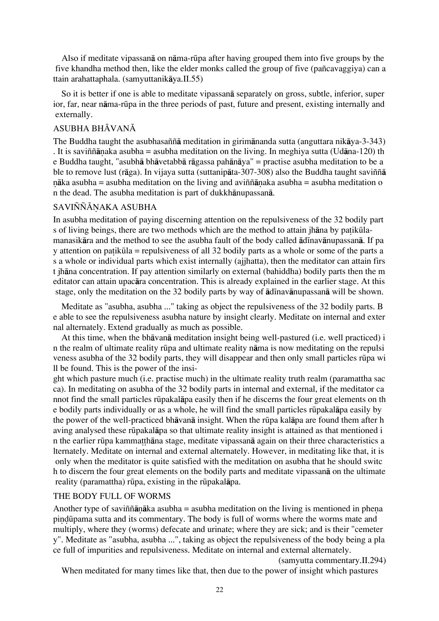Also if meditate vipassanå on nåma-rËpa after having grouped them into five groups by the five khandha method then, like the elder monks called the group of five (pañcavaggiya) can a ttain arahattaphala. (samyuttanikåya.II.55)

So it is better if one is able to meditate vipassanå separately on gross, subtle, inferior, super ior, far, near nāma-rūpa in the three periods of past, future and present, existing internally and externally.

### ASUBHA BHĀVANĀ

The Buddha taught the asubhasaññå meditation in girimånanda sutta (anguttara nikåya-3-343) . It is saviññānaka asubha = asubha meditation on the living. In meghiya sutta (Udāna-120) th e Buddha taught, "asubhå bhåvetabbå rågassa pahånåya" = practise asubha meditation to be a ble to remove lust (råga). In vijaya sutta (suttanipåta-307-308) also the Buddha taught saviññå nāka asubha = asubha meditation on the living and aviññānaka asubha = asubha meditation o n the dead. The asubha meditation is part of dukkhånupassanå.

### SAVIÑÑĀNAKA ASUBHA

In asubha meditation of paying discerning attention on the repulsiveness of the 32 bodily part s of living beings, there are two methods which are the method to attain jhana by patikulamanasikāra and the method to see the asubha fault of the body called  $\overline{a}$ dīnavānupassanā. If pa y attention on patikūla = repulsiveness of all 32 bodily parts as a whole or some of the parts a s a whole or individual parts which exist internally (ajjhatta), then the meditator can attain firs t jhåna concentration. If pay attention similarly on external (bahiddha) bodily parts then the m editator can attain upacåra concentration. This is already explained in the earlier stage. At this stage, only the meditation on the 32 bodily parts by way of  $\bar{a}$ dinavānupassanā will be shown.

Meditate as "asubha, asubha ..." taking as object the repulsiveness of the 32 bodily parts. B e able to see the repulsiveness asubha nature by insight clearly. Meditate on internal and exter nal alternately. Extend gradually as much as possible.

At this time, when the bhåvanå meditation insight being well-pastured (i.e. well practiced) i n the realm of ultimate reality rËpa and ultimate reality nåma is now meditating on the repulsi veness asubha of the 32 bodily parts, they will disappear and then only small particles rūpa wi ll be found. This is the power of the insi-

ght which pasture much (i.e. practise much) in the ultimate reality truth realm (paramattha sac ca). In meditating on asubha of the 32 bodily parts in internal and external, if the meditator ca nnot find the small particles rËpakalåpa easily then if he discerns the four great elements on th e bodily parts individually or as a whole, he will find the small particles rËpakalåpa easily by the power of the well-practiced bhāvanā insight. When the rūpa kalāpa are found them after h aving analysed these rËpakalåpa so that ultimate reality insight is attained as that mentioned i n the earlier rūpa kammatthāna stage, meditate vipassanā again on their three characteristics a lternately. Meditate on internal and external alternately. However, in meditating like that, it is only when the meditator is quite satisfied with the meditation on asubha that he should switc h to discern the four great elements on the bodily parts and meditate vipassanå on the ultimate reality (paramattha) rūpa, existing in the rūpakalāpa.

### THE BODY FULL OF WORMS

Another type of saviññānāka asubha = asubha meditation on the living is mentioned in phena pindūpama sutta and its commentary. The body is full of worms where the worms mate and multiply, where they (worms) defecate and urinate; where they are sick; and is their "cemeter y". Meditate as "asubha, asubha ...", taking as object the repulsiveness of the body being a pla ce full of impurities and repulsiveness. Meditate on internal and external alternately.

When meditated for many times like that, then due to the power of insight which pastures

<sup>(</sup>samyutta commentary.II.294)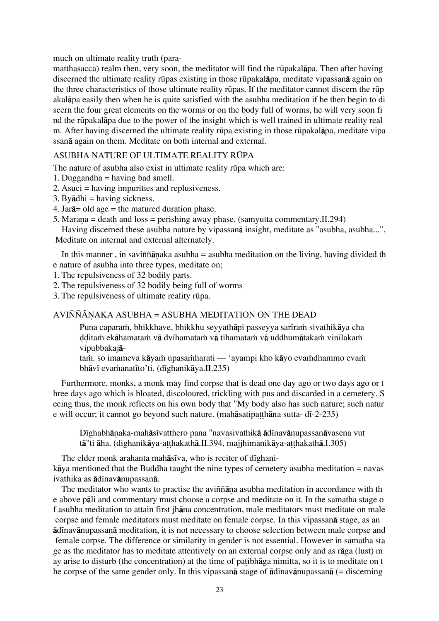much on ultimate reality truth (para-

matthasacca) realm then, very soon, the meditator will find the rūpakalāpa. Then after having discerned the ultimate reality rūpas existing in those rūpakalāpa, meditate vipassanā again on the three characteristics of those ultimate reality rūpas. If the meditator cannot discern the rūp akalåpa easily then when he is quite satisfied with the asubha meditation if he then begin to di scern the four great elements on the worms or on the body full of worms, he will very soon fi nd the rËpakalåpa due to the power of the insight which is well trained in ultimate reality real m. After having discerned the ultimate reality rūpa existing in those rūpakalāpa, meditate vipa ssanå again on them. Meditate on both internal and external.

# ASUBHA NATURE OF ULTIMATE REALITY RÚPA

The nature of asubha also exist in ultimate reality rūpa which are:

- 1. Duggandha = having bad smell.
- 2. Asuci = having impurities and replusiveness.
- $3. By  $\bar{a}$  dhi = having sickness.$
- 4. Jar $\bar{a}$  = old age = the matured duration phase.
- 5. Marana = death and loss = perishing away phase. (samyutta commentary. II.294)

Having discerned these asubha nature by vipassanå insight, meditate as "asubha, asubha...". Meditate on internal and external alternately.

In this manner, in saviññ $\bar{a}$ naka asubha = asubha meditation on the living, having divided th e nature of asubha into three types, meditate on;

- 1. The repulsiveness of 32 bodily parts.
- 2. The repulsiveness of 32 bodily being full of worms
- 3. The repulsiveness of ultimate reality rūpa.

# AVIÑÑĀNAKA ASUBHA = ASUBHA MEDITATION ON THE DEAD

Puna caparam, bhikkhave, bhikkhu seyyathāpi passeyya sarīram sivathikāya cha dditam ekāhamatam vā dvīhamatam vā tīhamatam vā uddhumātakam vinīlakam vipubbakajå-

tam. so imameva kāyam upasamharati — 'ayampi kho kāyo evamdhammo evam bhāvī evamanatīto'ti. (dīghanikāya.II.235)

Furthermore, monks, a monk may find corpse that is dead one day ago or two days ago or t hree days ago which is bloated, discoloured, trickling with pus and discarded in a cemetery. S eeing thus, the monk reflects on his own body that "My body also has such nature; such natur e will occur; it cannot go beyond such nature. (mahāsatipatthāna sutta- dī-2-235)

Dīghabhānaka-mahāsīvatthero pana "navasivathikā ādīnavānupassanāvasena vut tā"ti āha. (dighanikāya-atthakathā.II.394, majjhimanikāya-atthakathā.I.305)

The elder monk arahanta mahāsīva, who is reciter of dīghanikåya mentioned that the Buddha taught the nine types of cemetery asubha meditation = navas ivathika as ādīnavānupassanā.

The meditator who wants to practise the aviññana asubha meditation in accordance with th e above påli and commentary must choose a corpse and meditate on it. In the samatha stage o f asubha meditation to attain first jhåna concentration, male meditators must meditate on male corpse and female meditators must meditate on female corpse. In this vipassanå stage, as an ādīnavānupassanā meditation, it is not necessary to choose selection between male corpse and female corpse. The difference or similarity in gender is not essential. However in samatha sta ge as the meditator has to meditate attentively on an external corpse only and as råga (lust) m ay arise to disturb (the concentration) at the time of patibhaga nimitta, so it is to meditate on t he corpse of the same gender only. In this vipassan $\bar{a}$  stage of  $\bar{a}$ dinav $\bar{a}$ nupassan $\bar{a}$  (= discerning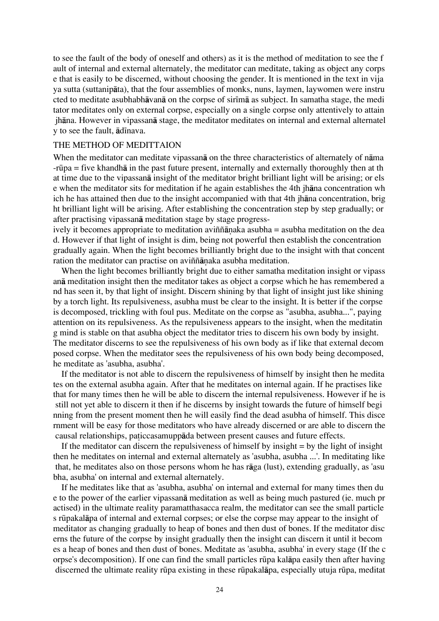to see the fault of the body of oneself and others) as it is the method of meditation to see the f ault of internal and external alternately, the meditator can meditate, taking as object any corps e that is easily to be discerned, without choosing the gender. It is mentioned in the text in vija ya sutta (suttanipåta), that the four assemblies of monks, nuns, laymen, laywomen were instru cted to meditate asubhabhāvanā on the corpse of sirīmā as subject. In samatha stage, the medi tator meditates only on external corpse, especially on a single corpse only attentively to attain jhåna. However in vipassanå stage, the meditator meditates on internal and external alternatel y to see the fault,  $\bar{a}$ dinava.

### THE METHOD OF MEDITTAION

When the meditator can meditate vipassanå on the three characteristics of alternately of nåma -rËpa = five khandhå in the past future present, internally and externally thoroughly then at th at time due to the vipassanå insight of the meditator bright brilliant light will be arising; or els e when the meditator sits for meditation if he again establishes the 4th jhåna concentration wh ich he has attained then due to the insight accompanied with that 4th jhåna concentration, brig ht brilliant light will be arising. After establishing the concentration step by step gradually; or after practising vipassanå meditation stage by stage progress-

ively it becomes appropriate to meditation aviññ $\bar{a}$ naka asubha = asubha meditation on the dea d. However if that light of insight is dim, being not powerful then establish the concentration gradually again. When the light becomes brilliantly bright due to the insight with that concent ration the meditator can practise on aviññānaka asubha meditation.

When the light becomes brilliantly bright due to either samatha meditation insight or vipass anå meditation insight then the meditator takes as object a corpse which he has remembered a nd has seen it, by that light of insight. Discern shining by that light of insight just like shining by a torch light. Its repulsiveness, asubha must be clear to the insight. It is better if the corpse is decomposed, trickling with foul pus. Meditate on the corpse as "asubha, asubha...", paying attention on its repulsiveness. As the repulsiveness appears to the insight, when the meditatin g mind is stable on that asubha object the meditator tries to discern his own body by insight. The meditator discerns to see the repulsiveness of his own body as if like that external decom posed corpse. When the meditator sees the repulsiveness of his own body being decomposed, he meditate as 'asubha, asubha'.

If the meditator is not able to discern the repulsiveness of himself by insight then he medita tes on the external asubha again. After that he meditates on internal again. If he practises like that for many times then he will be able to discern the internal repulsiveness. However if he is still not yet able to discern it then if he discerns by insight towards the future of himself begi nning from the present moment then he will easily find the dead asubha of himself. This disce rnment will be easy for those meditators who have already discerned or are able to discern the causal relationships, paticcasamuppada between present causes and future effects.

If the meditator can discern the repulsiveness of himself by insight  $=$  by the light of insight then he meditates on internal and external alternately as 'asubha, asubha ...'. In meditating like that, he meditates also on those persons whom he has råga (lust), extending gradually, as 'asu bha, asubha' on internal and external alternately.

If he meditates like that as 'asubha, asubha' on internal and external for many times then du e to the power of the earlier vipassanå meditation as well as being much pastured (ie. much pr actised) in the ultimate reality paramatthasacca realm, the meditator can see the small particle s rËpakalåpa of internal and external corpses; or else the corpse may appear to the insight of meditator as changing gradually to heap of bones and then dust of bones. If the meditator disc erns the future of the corpse by insight gradually then the insight can discern it until it becom es a heap of bones and then dust of bones. Meditate as 'asubha, asubha' in every stage (If the c orpse's decomposition). If one can find the small particles rËpa kalåpa easily then after having discerned the ultimate reality rūpa existing in these rūpakalāpa, especially utuja rūpa, meditat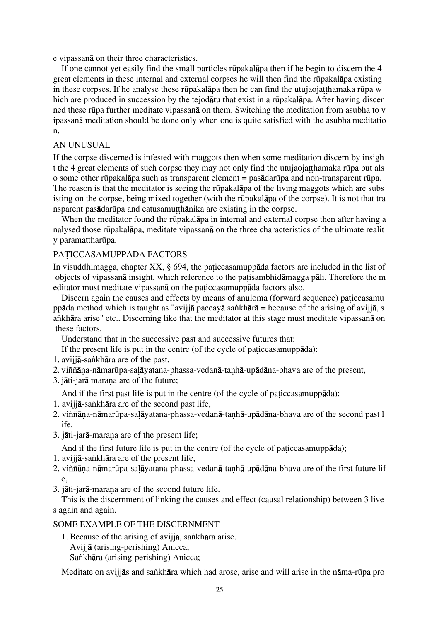e vipassanå on their three characteristics.

If one cannot yet easily find the small particles rūpakalāpa then if he begin to discern the 4 great elements in these internal and external corpses he will then find the rūpakalāpa existing in these corpses. If he analyse these rūpakalāpa then he can find the utujaojatthamaka rūpa w hich are produced in succession by the tejodatu that exist in a rūpakalāpa. After having discer ned these rËpa further meditate vipassanå on them. Switching the meditation from asubha to v ipassanå meditation should be done only when one is quite satisfied with the asubha meditatio n.

### AN UNUSUAL

If the corpse discerned is infested with maggots then when some meditation discern by insigh t the 4 great elements of such corpse they may not only find the utujaojathamaka rūpa but als o some other rËpakalåpa such as transparent element = pasådarËpa and non-transparent rËpa. The reason is that the meditator is seeing the rūpakalapa of the living maggots which are subs isting on the corpse, being mixed together (with the rūpakalapa of the corpse). It is not that tra nsparent pasadarūpa and catusamut thanika are existing in the corpse.

When the meditator found the rūpakalāpa in internal and external corpse then after having a nalysed those rËpakalåpa, meditate vipassanå on the three characteristics of the ultimate realit y paramattharūpa.

# PATICCASAMUPPĀDA FACTORS

In visuddhimagga, chapter  $XX$ , § 694, the patic casamuppada factors are included in the list of objects of vipassanā insight, which reference to the patisambhidāmagga pāli. Therefore the m editator must meditate vipassana on the paticcasamuppada factors also.

Discern again the causes and effects by means of anuloma (forward sequence) paticcasamu ppāda method which is taught as "avijjā paccayā sankhārā = because of the arising of avijjā, s a∫khåra arise" etc.. Discerning like that the meditator at this stage must meditate vipassanå on these factors.

Understand that in the successive past and successive futures that:

If the present life is put in the centre (of the cycle of paticcasamuppada):

- 1. avijiā-sankhāra are of the past.
- 2. viññāna-nāmarūpa-salāyatana-phassa-vedanā-tanhā-upādāna-bhava are of the present,
- 3. jāti-jarā marana are of the future;

And if the first past life is put in the centre (of the cycle of paticcasamuppada);

- 1. avijjā-sankhāra are of the second past life,
- 2. viññāna-nāmarūpa-salāyatana-phassa-vedanā-tanhā-upādāna-bhava are of the second past l ife,
- 3. jāti-jarā-marana are of the present life;

And if the first future life is put in the centre (of the cycle of paticcasamuppada);

- 1. avijjā-sankhāra are of the present life,
- 2. viññāna-nāmarūpa-saļāyatana-phassa-vedanā-tanhā-upādāna-bhava are of the first future lif e,
- 3. jāti-jarā-marana are of the second future life.

This is the discernment of linking the causes and effect (causal relationship) between 3 live s again and again.

### SOME EXAMPLE OF THE DISCERNMENT

1. Because of the arising of avijiā, sankhāra arise. Avijjå (arising-perishing) Anicca; Sankhāra (arising-perishing) Anicca;

Meditate on avijjās and sankhāra which had arose, arise and will arise in the nāma-rūpa pro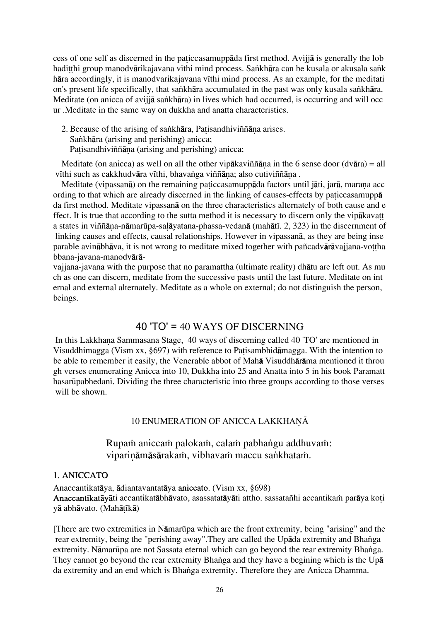cess of one self as discerned in the paticcasamuppada first method. Avija is generally the lob haditthi group manodvārikajavana vīthi mind process. Sankhāra can be kusala or akusala sank hāra accordingly, it is manodvarikajavana vīthi mind process. As an example, for the meditati on's present life specifically, that sankhāra accumulated in the past was only kusala sankhāra. Meditate (on anicca of avijjā sankhāra) in lives which had occurred, is occurring and will occ ur .Meditate in the same way on dukkha and anatta characteristics.

2. Because of the arising of sankhāra, Patisandhiviññāna arises. Sankhāra (arising and perishing) anicca; Patisandhiviññāna (arising and perishing) anicca;

Meditate (on anicca) as well on all the other vipākaviññāna in the 6 sense door (dvāra) = all vīthi such as cakkhudvāra vīthi, bhavanga viññāna; also cutiviññāna .

Meditate (vipassanā) on the remaining paticcasamuppāda factors until jāti, jarā, marana acc ording to that which are already discerned in the linking of causes-effects by paticcasamuppa da first method. Meditate vipassanå on the three characteristics alternately of both cause and e ffect. It is true that according to the sutta method it is necessary to discern only the vipåkava a states in viññāna-nāmarūpa-salāyatana-phassa-vedanā (mahātī. 2, 323) in the discernment of linking causes and effects, causal relationships. However in vipassanå, as they are being inse parable avinābhāva, it is not wrong to meditate mixed together with pañcadvārāvajiana-vottha bbana-javana-manodvårå-

vajjana-javana with the purpose that no paramattha (ultimate reality) dhåtu are left out. As mu ch as one can discern, meditate from the successive pasts until the last future. Meditate on int ernal and external alternately. Meditate as a whole on external; do not distinguish the person, beings.

# 40 'TO' = 40 WAYS OF DISCERNING

In this Lakkhana Sammasana Stage, 40 ways of discerning called 40 'TO' are mentioned in Visuddhimagga (Vism xx, §697) with reference to Patisambhidāmagga. With the intention to be able to remember it easily, the Venerable abbot of Mahå Visuddhåråma mentioned it throu gh verses enumerating Anicca into 10, Dukkha into 25 and Anatta into 5 in his book Paramatt hasarūpabhedanī. Dividing the three characteristic into three groups according to those verses will be shown.

# 10 ENUMERATION OF ANICCA LAKKHANĀ

Rupam aniccam palokam, calam pabhangu addhuvam: viparināmāsārakam, vibhavam maccu sankhatam.

# 1. ANICCATO

Anaccantikatåya, ådiantavantatåya aniccato. (Vism xx, §698) Anaccantikatāvāti accantikatābhāvato, asassatatāvāti attho, sassatañhi accantikam parāva ko i yā abhāvato. (Mahātīkā)

[There are two extremities in NåmarËpa which are the front extremity, being "arising" and the rear extremity, being the "perishing away".They are called the Upāda extremity and Bhanga extremity. Nāmarūpa are not Sassata eternal which can go beyond the rear extremity Bhanga. They cannot go beyond the rear extremity Bhanga and they have a begining which is the Upa da extremity and an end which is Bhanga extremity. Therefore they are Anicca Dhamma.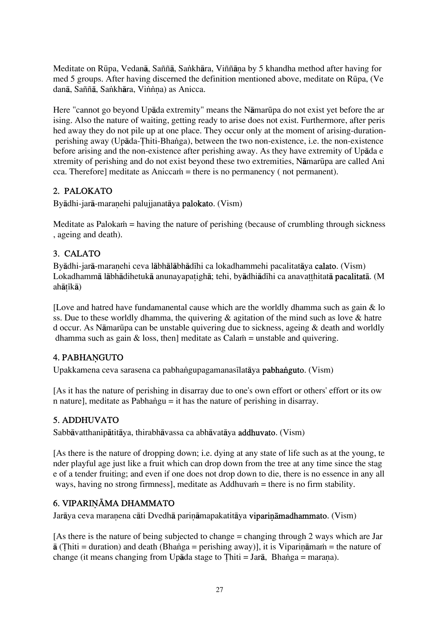Meditate on Rūpa, Vedanā, Saññā, Saṅkhāra, Viññāna by 5 khandha method after having for med 5 groups. After having discerned the definition mentioned above, meditate on Rūpa, (Ve danā, Saññā, Saṅkhāra, Viṅṅna) as Anicca.

Here "cannot go beyond Upāda extremity" means the Nāmarūpa do not exist yet before the ar ising. Also the nature of waiting, getting ready to arise does not exist. Furthermore, after peris hed away they do not pile up at one place. They occur only at the moment of arising-duration perishing away (Upāda-Țhiti-Bhanga), between the two non-existence, i.e. the non-existence before arising and the non-existence after perishing away. As they have extremity of Upåda e xtremity of perishing and do not exist beyond these two extremities, Namarūpa are called Ani  $cca$ . Thereforel meditate as Anicca $\dot{m}$  = there is no permanency (not permanent).

# 2. PALOKATO

Byādhi-jarā-maranehi palujjanatāya palokato. (Vism)

Meditate as Paloka $\dot{m}$  = having the nature of perishing (because of crumbling through sickness , ageing and death).

# 3. CALATO

Byādhi-jarā-maranehi ceva lābhālābhādīhi ca lokadhammehi pacalitatāya calato. (Vism) Lokadhammā lābhādihetukā anunayapa tighā; tehi, byādhiādīhi ca anavat thitatā pacalitatā. (M ahātīkā)

[Love and hatred have fundamanental cause which are the worldly dhamma such as gain & lo ss. Due to these worldly dhamma, the quivering & agitation of the mind such as love & hatre d occur. As NåmarËpa can be unstable quivering due to sickness, ageing & death and worldly dhamma such as gain  $\&$  loss, then] meditate as Calam = unstable and quivering.

# 4. PABHANGUTO

Upakkamena ceva sarasena ca pabhangupagamanasīlatāya **pabhanguto**. (Vism)

[As it has the nature of perishing in disarray due to one's own effort or others' effort or its ow n nature], meditate as Pabhangu = it has the nature of perishing in disarray.

# 5. ADDHUVATO

Sabbåvatthanipåtitåya, thirabhåvassa ca abhåvatåya addhuvato. (Vism)

[As there is the nature of dropping down; i.e. dying at any state of life such as at the young, te nder playful age just like a fruit which can drop down from the tree at any time since the stag e of a tender fruiting; and even if one does not drop down to die, there is no essence in any all ways, having no strong firmness], meditate as Addhuva $\dot{m}$  = there is no firm stability.

# 6. VIPARINĀMA DHAMMATO

Jarāya ceva maranena cāti Dvedhā parināmapakatitāya viparināmadhammato. (Vism)

[As there is the nature of being subjected to change = changing through 2 ways which are Jar  $\bar{a}$  (Thiti = duration) and death (Bhanga = perishing away)], it is Viparināmam = the nature of change (it means changing from Upāda stage to Thiti = Jarā, Bhanga = marana).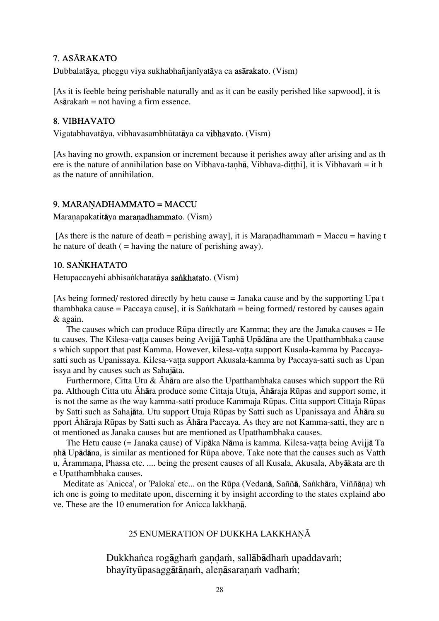# 7. ASĀRAKATO

Dubbalatāya, pheggu viya sukhabhañjanīyatāya ca asārakato. (Vism)

[As it is feeble being perishable naturally and as it can be easily perished like sapwood], it is As $\bar{a}$ raka $\dot{m}$  = not having a firm essence.

# 8. VIBHAVATO

Vigatabhavatāya, vibhavasambhūtatāya ca vibhavato. (Vism)

[As having no growth, expansion or increment because it perishes away after arising and as th ere is the nature of annihilation base on Vibhava-tanhā, Vibhava-ditthil, it is Vibhava $\dot{m} = i$ t h as the nature of annihilation.

# 9. MARANADHAMMATO = MACCU

Maranapakatitāya maranadhammato. (Vism)

[As there is the nature of death = perishing away], it is Maranadhammam = Maccu = having t he nature of death  $($  = having the nature of perishing away).

# 10. SANKHATATO

Hetupaccayehi abhisankhatatāya sankhatato. (Vism)

[As being formed/ restored directly by hetu cause = Janaka cause and by the supporting Upa t thambhaka cause = Paccaya cause], it is Sankhatam = being formed/ restored by causes again & again.

The causes which can produce  $R\bar{u}$  adirectly are Kamma; they are the Janaka causes  $=$  He tu causes. The Kilesa-vatta causes being Avijjā Tanhā Upādāna are the Upatthambhaka cause s which support that past Kamma. However, kilesa-vatta support Kusala-kamma by Paccayasatti such as Upanissaya. Kilesa-vatta support Akusala-kamma by Paccaya-satti such as Upan issya and by causes such as Sahajåta.

Furthermore, Citta Utu &  $\bar{A}$ hāra are also the Upatthambhaka causes which support the Rū pa. Although Citta utu Āhāra produce some Cittaja Utuja, Āhāraja Rūpas and support some, it is not the same as the way kamma-satti produce Kammaja Rūpas. Citta support Cittaja Rūpas by Satti such as Sahajāta. Utu support Utuja Rūpas by Satti such as Upanissaya and Āhāra su pport Āhāraja Rūpas by Satti such as Āhāra Paccaya. As they are not Kamma-satti, they are n ot mentioned as Janaka causes but are mentioned as Upatthambhaka causes.

The Hetu cause (= Janaka cause) of Vipāka Nāma is kamma. Kilesa-vatta being Avijjā Ta ˆhå Upådåna, is similar as mentioned for RËpa above. Take note that the causes such as Vatth u, Ārammana, Phassa etc. .... being the present causes of all Kusala, Akusala, Abyākata are th e Upatthambhaka causes.

Meditate as 'Anicca', or 'Paloka' etc... on the Rūpa (Vedanā, Saññā, Sankhāra, Viññāna) wh ich one is going to meditate upon, discerning it by insight according to the states explaind abo ve. These are the 10 enumeration for Anicca lakkhana.

# 25 ENUMERATION OF DUKKHA LAKKHANĀ

Dukkhanca rogāgham gandam, sallābādham upaddavam; bhayītyūpasaggātānaṁ, alenāsaranaṁ vadhaṁ;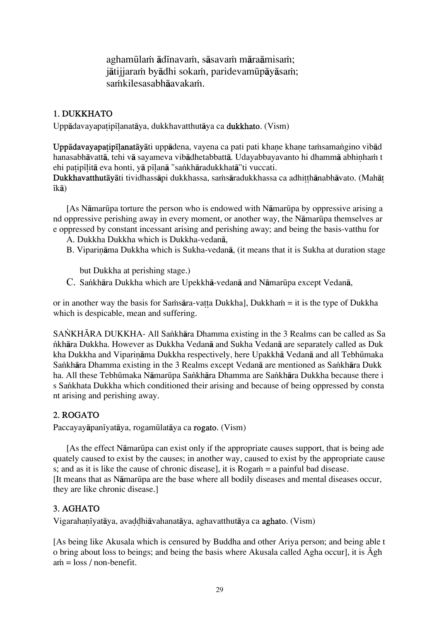aghamūlam ādīnavam, sāsavam māraāmisam; jātijjaram byādhi sokam, paridevamūpāyāsam; samkilesasabhāavakam.

# 1. DUKKHATO

Uppādavavapatipīlanatāva, dukkhavatthutāva ca dukkhato. (Vism)

Uppādavayapa tipīlana tāyāti uppādena, vayena ca pati pati khane khane tamsamangino vibād hanasabhāvattā, tehi vā sayameva vibādhetabbattā. Udayabbayavanto hi dhammā abhinham t ehi patipīlitā eva honti, yā pīlanā "sankhāradukkhatā"ti vuccati.

Dukkhavatthutāyāti tividhassāpi dukkhassa, saṁsāradukkhassa ca adhitthānabhāvato. (Mahāt  $ik\bar{a}$ 

[As NåmarËpa torture the person who is endowed with NåmarËpa by oppressive arising a nd oppressive perishing away in every moment, or another way, the Nāmarūpa themselves ar e oppressed by constant incessant arising and perishing away; and being the basis-vatthu for

- A. Dukkha Dukkha which is Dukkha-vedanå,
- B. Viparināma Dukkha which is Sukha-vedanā, (it means that it is Sukha at duration stage

but Dukkha at perishing stage.)

C. Sankhāra Dukkha which are Upekkhā-vedanā and Nāmarūpa except Vedanā,

or in another way the basis for Sa $\hat{a}$ a-vatta Dukkha], Dukkha $\hat{n}$  = it is the type of Dukkha which is despicable, mean and suffering.

SANKHĀRA DUKKHA- All Sankhāra Dhamma existing in the 3 Realms can be called as Sa ∫khåra Dukkha. However as Dukkha Vedanå and Sukha Vedanå are separately called as Duk kha Dukkha and Viparināma Dukkha respectively, here Upakkhā Vedanā and all Tebhūmaka Sankhāra Dhamma existing in the 3 Realms except Vedanā are mentioned as Sankhāra Dukk ha. All these Tebhūmaka Nāmarūpa Sankhāra Dhamma are Sankhāra Dukkha because there i s Sankhata Dukkha which conditioned their arising and because of being oppressed by consta nt arising and perishing away.

# 2. ROGATO

Paccayayāpanīyatāya, rogamūlatāya ca rogato. (Vism)

[As the effect NåmarËpa can exist only if the appropriate causes support, that is being ade quately caused to exist by the causes; in another way, caused to exist by the appropriate cause s; and as it is like the cause of chronic disease, it is  $Rogam = a$  painful bad disease. [It means that as NåmarËpa are the base where all bodily diseases and mental diseases occur, they are like chronic disease.]

# 3. AGHATO

Vigarahanīvatāva, avaddhiāvahanatāva, aghavatthutāva ca **aghato**. (Vism)

[As being like Akusala which is censured by Buddha and other Ariya person; and being able t o bring about loss to beings; and being the basis where Akusala called Agha occur], it is  $\bar{A}$ gh  $\sin = \cos / \text{non-benefit.}$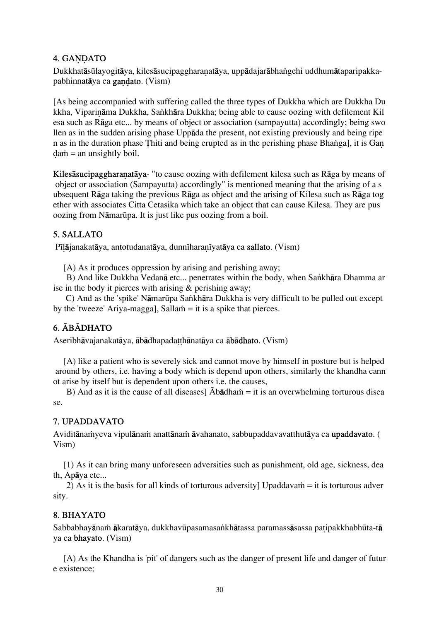# 4. GANDATO

Dukkhatāsūlayogitāya, kilesāsucipaggharanatāya, uppādajarābhangehi uddhumātaparipakkapabhinnatāya ca gandato. (Vism)

[As being accompanied with suffering called the three types of Dukkha which are Dukkha Du kkha, Viparināma Dukkha, Sankhāra Dukkha; being able to cause oozing with defilement Kil esa such as Råga etc... by means of object or association (sampayutta) accordingly; being swo llen as in the sudden arising phase Uppåda the present, not existing previously and being ripe n as in the duration phase Thiti and being erupted as in the perishing phase Bhanga], it is Gan  $d$ a $\dot{m}$  = an unsightly boil.

Kiles asucipaggharanataya- "to cause oozing with defilement kilesa such as Raga by means of object or association (Sampayutta) accordingly" is mentioned meaning that the arising of a s ubsequent Råga taking the previous Råga as object and the arising of Kilesa such as Råga tog ether with associates Citta Cetasika which take an object that can cause Kilesa. They are pus oozing from NåmarËpa. It is just like pus oozing from a boil.

# 5. SALLATO

Pīlājanakatāya, antotudanatāya, dunnīharanīyatāya ca sallato. (Vism)

[A) As it produces oppression by arising and perishing away;

B) And like Dukkha Vedanā etc... penetrates within the body, when Sankhāra Dhamma ar ise in the body it pierces with arising & perishing away;

C) And as the 'spike' Nāmarūpa Sankhāra Dukkha is very difficult to be pulled out except by the 'tweeze' Ariya-magga], Salla $\dot{m} = i$ t is a spike that pierces.

# 6. ÓBÓDHATO

Aseribhāvajanakatāya, ābādhapadatthānatāya ca **ābādhato**. (Vism)

[A) like a patient who is severely sick and cannot move by himself in posture but is helped around by others, i.e. having a body which is depend upon others, similarly the khandha cann ot arise by itself but is dependent upon others i.e. the causes,

B) And as it is the cause of all diseases]  $\bar{A}b\bar{a}dh$  and  $i$  is an overwhelming torturous disea se.

# 7. UPADDAVATO

Aviditāna $\dot{m}$ yeva vipulāna $\dot{m}$  anattāna $\dot{m}$  āvahanato, sabbupaddavavatthutāva ca upaddavato. ( Vism)

[1) As it can bring many unforeseen adversities such as punishment, old age, sickness, dea th, Apåya etc...

2) As it is the basis for all kinds of torturous adversity] Upaddavam  $=$  it is torturous adver sity.

# 8. BHAYATO

Sabbabhayānam ākaratāya, dukkhavūpasamasankhātassa paramassāsassa patipakkhabhūta-tā ya ca bhayato. (Vism)

[A) As the Khandha is 'pit' of dangers such as the danger of present life and danger of futur e existence;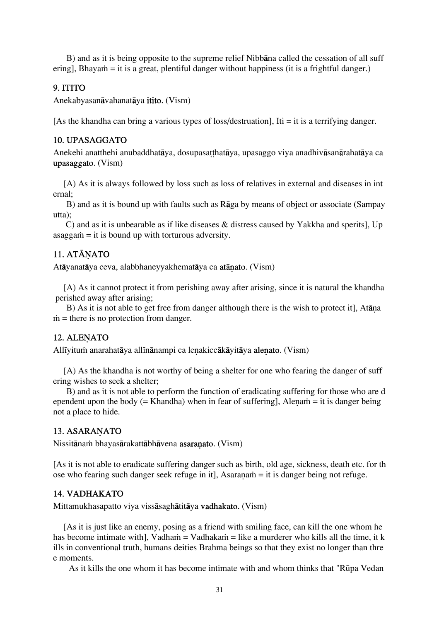B) and as it is being opposite to the supreme relief Nibbåna called the cessation of all suff ering], Bhayam = it is a great, plentiful danger without happiness (it is a frightful danger.)

### 9. ITITO

Anekabyasanåvahanatåya itito. (Vism)

[As the khandha can bring a various types of loss/destruation], Iti = it is a terrifying danger.

#### 10. UPASAGGATO

Anekehi anatthehi anubaddhatāya, dosupasatthatāya, upasaggo viya anadhivāsanārahatāya ca upasaggato. (Vism)

[A) As it is always followed by loss such as loss of relatives in external and diseases in int ernal;

B) and as it is bound up with faults such as Råga by means of object or associate (Sampay utta);

 C) and as it is unbearable as if like diseases & distress caused by Yakkha and sperits], Up  $asagain = it$  is bound up with torturous adversity.

# 11. ATĀNATO

Atāyanatāya ceva, alabbhaneyyakhematāya ca **atānato**. (Vism)

[A) As it cannot protect it from perishing away after arising, since it is natural the khandha perished away after arising;

B) As it is not able to get free from danger although there is the wish to protect it], Atana  $\dot{m}$  = there is no protection from danger.

### 12. ALENATO

Allīyitum anarahatāya allīnānampi ca lenakiccākāyitāya **alenato**. (Vism)

[A) As the khandha is not worthy of being a shelter for one who fearing the danger of suff ering wishes to seek a shelter;

 B) and as it is not able to perform the function of eradicating suffering for those who are d ependent upon the body (= Khandha) when in fear of suffering], Alenam = it is danger being not a place to hide.

# 13. ASARANATO

Nissitānam bhayasārakattābhāvena asaranato. (Vism)

[As it is not able to eradicate suffering danger such as birth, old age, sickness, death etc. for th ose who fearing such danger seek refuge in it], Asaranam  $=$  it is danger being not refuge.

### 14. VADHAKATO

Mittamukhasapatto viya vissåsaghåtitåya vadhakato. (Vism)

[As it is just like an enemy, posing as a friend with smiling face, can kill the one whom he has become intimate with], Vadha $\dot{m} = V$ adhaka $\dot{m} =$  like a murderer who kills all the time, it k ills in conventional truth, humans deities Brahma beings so that they exist no longer than thre e moments.

As it kills the one whom it has become intimate with and whom thinks that "RËpa Vedan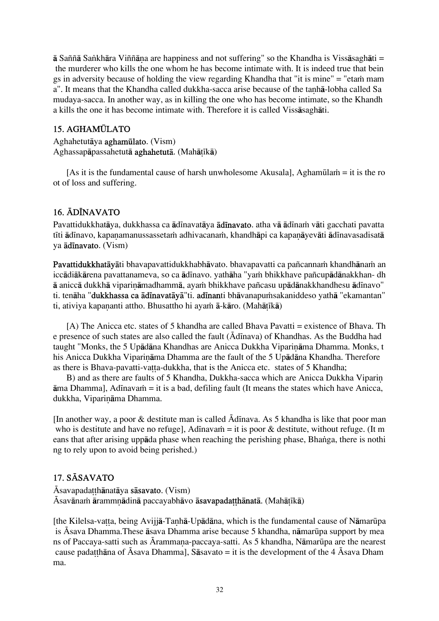ā Saññā Sankhāra Viññāna are happiness and not suffering" so the Khandha is Vissāsaghāti = the murderer who kills the one whom he has become intimate with. It is indeed true that bein gs in adversity because of holding the view regarding Khandha that "it is mine" = "etam mam a". It means that the Khandha called dukkha-sacca arise because of the tanha-lobha called Sa mudaya-sacca. In another way, as in killing the one who has become intimate, so the Khandh a kills the one it has become intimate with. Therefore it is called Vissåsaghåti.

# 15. AGHAMÚLATO

Aghahetutåya aghamËlato. (Vism) Aghassapāpassahetutā aghahetutā. (Mahātīkā)

[As it is the fundamental cause of harsh unwholesome Akusala], Aghamūlam = it is the ro ot of loss and suffering.

# 16. ÁDÍNAVATO

Pavattidukkhatāya, dukkhassa ca ādīnavatāya **ādīnavato**. atha vā ādīnam vāti gacchati pavatta tīti ādīnavo, kapanamanussassetam adhivacanam, khandhāpi ca kapanāyevāti ādīnavasadisatā ya **ādīnavato**. (Vism)

Pavattidukkhatāyāti bhavapavattidukkhabhāvato. bhavapavatti ca pañcannam khandhānam an iccādiākārena pavattanameva, so ca ādīnavo. yathāha "yam bhikkhave pañcupādānakkhan- dh ā aniccā dukkhā viparināmadhammā, ayam bhikkhave pañcasu upādānakkhandhesu ādīnavo" ti. tenāha "**dukkhassa ca ādīnavatāvā**"ti. **adīnan**ti bhāvanapumsakaniddeso yathā "ekamantan" ti, ativiya kapananti attho. Bhusattho hi ayam  $\bar{a}$ -kāro. (Mahātīkā)

[A) The Anicca etc. states of 5 khandha are called Bhava Pavatti = existence of Bhava. Th e presence of such states are also called the fault ( $\bar{A}$ d $\bar{A}$ nava) of Khandhas. As the Buddha had taught "Monks, the 5 Upādāna Khandhas are Anicca Dukkha Viparināma Dhamma. Monks, t his Anicca Dukkha Viparināma Dhamma are the fault of the 5 Upādāna Khandha. Therefore as there is Bhava-pavatti-vatta-dukkha, that is the Anicca etc. states of 5 Khandha;

B) and as there are faults of 5 Khandha, Dukkha-sacca which are Anicca Dukkha Viparin  $\bar{a}$ ma Dhamma], Adīnava $\dot{m}$  = it is a bad, defiling fault (It means the states which have Anicca, dukkha, Viparināma Dhamma.

[In another way, a poor  $\&$  destitute man is called  $\bar{A}$ dinava. As 5 khandha is like that poor man who is destitute and have no refuge], Adinavam = it is poor  $\&$  destitute, without refuge. (It m eans that after arising uppāda phase when reaching the perishing phase, Bhanga, there is nothi ng to rely upon to avoid being perished.)

# 17. SĀSAVATO

 $\bar{A}$ savapada tthānatāva s**āsavato**. (Vism) Ásavānam ārammnādinā paccayabhāvo **āsavapadatthānatā**. (Mahātīkā)

[the Kilelsa-vatta, being Avijjā-Tanhā-Upādāna, which is the fundamental cause of Nāmarūpa is Ásava Dhamma. These āsava Dhamma arise because 5 khandha, nāmarūpa support by mea ns of Paccaya-satti such as Ārammana-paccaya-satti. As 5 khandha, Nāmarūpa are the nearest cause padatthana of Āsava Dhamma], Sāsavato = it is the development of the 4 Āsava Dham ma.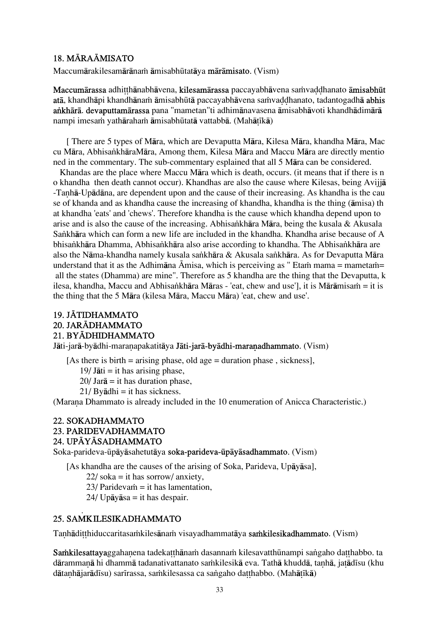# 18. MĀRAĀMISATO

Maccumārakilesamārānam āmisabhūtatāva mārāmisato. (Vism)

Maccumārassa adhitthānabhāvena, kilesamārassa paccayabhāvena saṁvaddhanato āmisabhūt atā, khandhāpi khandhānam āmisabhūtā paccayabhāvena samvaddhanato, tadantogadhā abhis ankhārā. devaputtamārassa pana "mametan"ti adhimānavasena āmisabhāvoti khandhādimārā nampi imesaṁ yathārahaṁ āmisabhūtatā vattabbā. (Mahātīkā)

[ There are 5 types of Måra, which are Devaputta Måra, Kilesa Måra, khandha Måra, Mac cu Måra, Abhisa∫khåraMåra, Among them, Kilesa Måra and Maccu Måra are directly mentio ned in the commentary. The sub-commentary esplained that all 5 Måra can be considered.

 Khandas are the place where Maccu Måra which is death, occurs. (it means that if there is n o khandha then death cannot occur). Khandhas are also the cause where Kilesas, being Avijjå -Tanhā-Upādāna, are dependent upon and the cause of their increasing. As khandha is the cau se of khanda and as khandha cause the increasing of khandha, khandha is the thing (åmisa) th at khandha 'eats' and 'chews'. Therefore khandha is the cause which khandha depend upon to arise and is also the cause of the increasing. Abhisa∫khåra Måra, being the kusala & Akusala Sankhāra which can form a new life are included in the khandha. Khandha arise because of A bhisankhāra Dhamma, Abhisankhāra also arise according to khandha. The Abhisankhāra are also the Nāma-khandha namely kusala sankhāra & Akusala sankhāra. As for Devaputta Māra understand that it as the Adhimāna Āmisa, which is perceiving as " Etam mama = mametam= all the states (Dhamma) are mine". Therefore as 5 khandha are the thing that the Devaputta, k ilesa, khandha, Maccu and Abhisankhāra Māras - 'eat, chew and use'], it is Mārāmisam = it is the thing that the 5 Måra (kilesa Måra, Maccu Måra) 'eat, chew and use'.

# 19. JĀTIDHAMMATO 20. JARÓDHAMMATO 21. BYĀDHIDHAMMATO

Jāti-jarā-byādhi-maranapakatitāya Jāti-jarā-byādhi-maranadhammato. (Vism)

[As there is birth = arising phase, old age = duration phase, sickness],

 $19$ / Jāti = it has arising phase,

 $20$ / Jar $\bar{a}$  = it has duration phase,

 $21/$  By $\bar{a}$ dhi = it has sickness.

(Marana Dhammato is already included in the 10 enumeration of Anicca Characteristic.)

### 22. SOKADHAMMATO 23. PARIDEVADHAMMATO 24. UPĀYĀSADHAMMATO

Soka-parideva-Ëpåyåsahetutåya soka-parideva-Ëpåyåsadhammato. (Vism)

[As khandha are the causes of the arising of Soka, Parideva, Upåyåsa],

 $22/\text{soka} = \text{it has } \text{sortow}/\text{anxietv}$ ,

 $23$ / Paridevam = it has lamentation,

 $24$ / Upāyāsa = it has despair.

# .<br>25. SAMKILESIKADHAMMATO

Tanhādi thiduccaritasa mkilesāna mvisayadhammatāya samikilesikadhammato. (Vism)

Samkilesattayaggahanena tadekatthānam dasannam kilesavatthūnampi sangaho datthabbo. ta dārammanā hi dhammā tadanativattanato saṁkilesikā eva. Tathā khuddā, tanhā, jatādīsu (khu dātanhājarādīsu) sarīrassa, saṁkilesassa ca saṅgaho datthabbo. (Mahātīkā)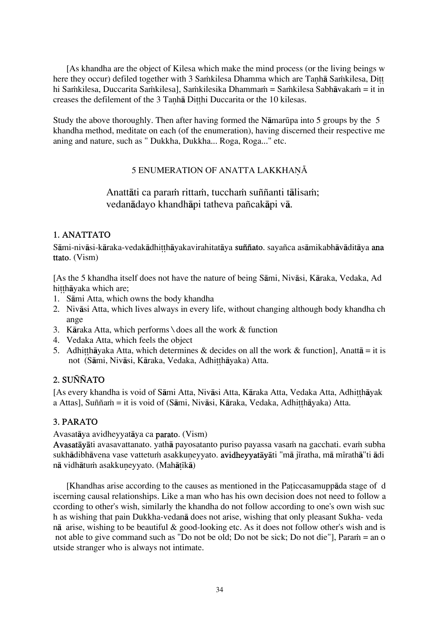[As khandha are the object of Kilesa which make the mind process (or the living beings w here they occur) defiled together with 3 Saṁkilesa Dhamma which are Tanha Saṁkilesa, Ditt hi Saṁkilesa, Duccarita Saṁkilesa], Saṁkilesika Dhammaṁ = Saṁkilesa Sabhāvakaṁ = it in creases the defilement of the 3 Tanhā Ditthi Duccarita or the 10 kilesas.

Study the above thoroughly. Then after having formed the Nāmarūpa into 5 groups by the 5 khandha method, meditate on each (of the enumeration), having discerned their respective me aning and nature, such as " Dukkha, Dukkha... Roga, Roga..." etc.

# 5 ENUMERATION OF ANATTA LAKKHANĀ

# Anattāti ca param rittam, tuccham suññanti tālisam; vedanådayo khandhåpi tatheva pañcakåpi vå.

# 1. ANATTATO

Sāmi-nivāsi-kāraka-vedakādhitthāyakavirahitatāya suññato. sayañca asāmikabhāvāditāya ana ttato. (Vism)

[As the 5 khandha itself does not have the nature of being Såmi, Nivåsi, Kåraka, Vedaka, Ad hitthāyaka which are;

- 1. Såmi Atta, which owns the body khandha
- 2. Nivåsi Atta, which lives always in every life, without changing although body khandha ch ange
- 3. Kåraka Atta, which performs \ does all the work & function
- 4. Vedaka Atta, which feels the object
- 5. Adhitthayaka Atta, which determines & decides on all the work & function], Anatta = it is not (Sāmi, Nivāsi, Kāraka, Vedaka, Adhitthāyaka) Atta.

# 2. SUÑÑATO

[As every khandha is void of Sāmi Atta, Nivāsi Atta, Kāraka Atta, Vedaka Atta, Adhitthāyak a Attas], Suññam = it is void of (Sāmi, Nivāsi, Kāraka, Vedaka, Adhitthāyaka) Atta.

# 3. PARATO

Avasatåya avidheyyatåya ca parato. (Vism)

Avasatāyāti avasavattanato. yathā payosatanto puriso payassa vasam na gacchati. evam subha sukhādibhāvena vase vattetum asakkuneyyato. avidheyyatāyāti "mā jīratha, mā mīrathā"ti ādi nā vidhātum asakkuneyyato. (Mahātīkā)

[Khandhas arise according to the causes as mentioned in the Paticcasamuppada stage of d iscerning causal relationships. Like a man who has his own decision does not need to follow a ccording to other's wish, similarly the khandha do not follow according to one's own wish suc h as wishing that pain Dukkha-vedanå does not arise, wishing that only pleasant Sukha- veda nå arise, wishing to be beautiful & good-looking etc. As it does not follow other's wish and is not able to give command such as "Do not be old; Do not be sick; Do not die"], Para $\dot{m}$  = an o utside stranger who is always not intimate.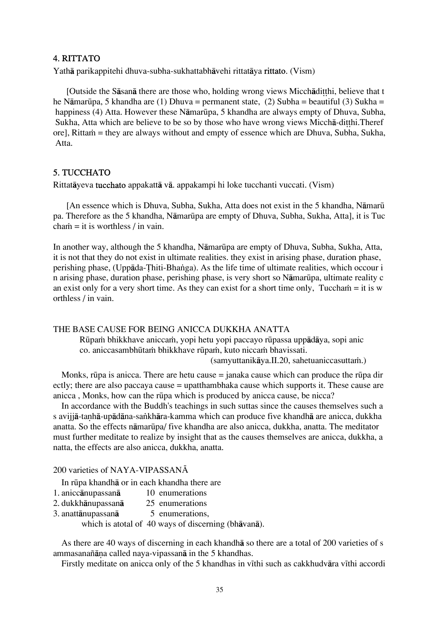### 4. RITTATO

Yathå parikappitehi dhuva-subha-sukhattabhåvehi rittatåya rittato. (Vism)

[Outside the Sāsanā there are those who, holding wrong views Micchādi thi, believe that t he N $\bar{\text{a}}$ marūpa, 5 khandha are (1) Dhuva = permanent state, (2) Subha = beautiful (3) Sukha = happiness (4) Atta. However these Nāmarūpa, 5 khandha are always empty of Dhuva, Subha, Sukha, Atta which are believe to be so by those who have wrong views Miccha-ditthi. Theref ore], Rittam = they are always without and empty of essence which are Dhuva, Subha, Sukha, Atta.

### 5. TUCCHATO

Rittatåyeva tucchato appakattå vå. appakampi hi loke tucchanti vuccati. (Vism)

[An essence which is Dhuva, Subha, Sukha, Atta does not exist in the 5 khandha, Nāmarū pa. Therefore as the 5 khandha, Nāmarūpa are empty of Dhuva, Subha, Sukha, Atta], it is Tuc  $chain = it$  is worthless / in vain.

In another way, although the 5 khandha, Nāmarūpa are empty of Dhuva, Subha, Sukha, Atta, it is not that they do not exist in ultimate realities. they exist in arising phase, duration phase, perishing phase, (Uppāda-Thiti-Bhanga). As the life time of ultimate realities, which occour i n arising phase, duration phase, perishing phase, is very short so NåmarËpa, ultimate reality c an exist only for a very short time. As they can exist for a short time only, Tuccham = it is w orthless / in vain.

#### THE BASE CAUSE FOR BEING ANICCA DUKKHA ANATTA

Rūpam bhikkhave aniccam, yopi hetu yopi paccayo rūpassa uppādāya, sopi anic co. aniccasambhūtam bhikkhave rūpam, kuto niccam bhavissati.

 $(samvuttanikāva.II.20, sahetuaniccasuttam.)$ 

Monks, rūpa is anicca. There are hetu cause  $=$  janaka cause which can produce the rūpa dir ectly; there are also paccaya cause = upatthambhaka cause which supports it. These cause are anicca, Monks, how can the rūpa which is produced by anicca cause, be nicca?

In accordance with the Buddh's teachings in such suttas since the causes themselves such a s avijjā-tanhā-upādāna-sankhāra-kamma which can produce five khandhā are anicca, dukkha anatta. So the effects nåmarËpa/ five khandha are also anicca, dukkha, anatta. The meditator must further meditate to realize by insight that as the causes themselves are anicca, dukkha, a natta, the effects are also anicca, dukkha, anatta.

### 200 varieties of NAYA-VIPASSANA

In rËpa khandhå or in each khandha there are

- 1. aniccånupassanå 10 enumerations
- 2. dukkhånupassanå 25 enumerations
- 3. anattånupassanå 5 enumerations,

which is atotal of 40 ways of discerning (bhåvanå).

As there are 40 ways of discerning in each khandhå so there are a total of 200 varieties of s ammasanañāna called naya-vipassanā in the 5 khandhas.

Firstly meditate on anicca only of the 5 khandhas in vīthi such as cakkhudvāra vīthi accordi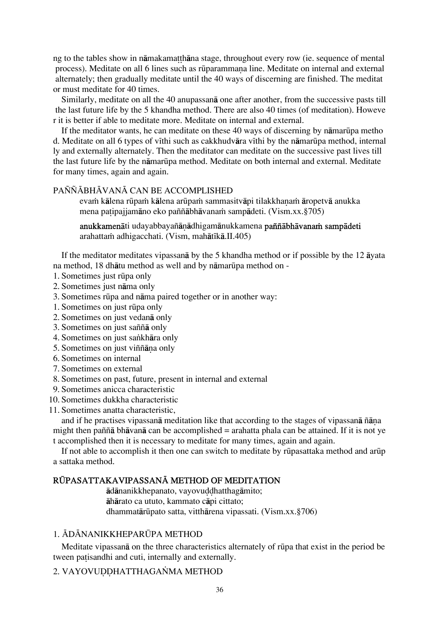ng to the tables show in nāmakamatthāna stage, throughout every row (ie. sequence of mental process). Meditate on all 6 lines such as rūparammana line. Meditate on internal and external alternately; then gradually meditate until the 40 ways of discerning are finished. The meditat or must meditate for 40 times.

Similarly, meditate on all the 40 anupassanå one after another, from the successive pasts till the last future life by the 5 khandha method. There are also 40 times (of meditation). Howeve r it is better if able to meditate more. Meditate on internal and external.

If the meditator wants, he can meditate on these 40 ways of discerning by nāmarūpa metho d. Meditate on all 6 types of vīthi such as cakkhudvāra vīthi by the nāmarūpa method, internal ly and externally alternately. Then the meditator can meditate on the successive past lives till the last future life by the nāmarūpa method. Meditate on both internal and external. Meditate for many times, again and again.

### PAÑÑĀBHĀVANĀ CAN BE ACCOMPLISHED

evam kālena rūpam kālena arūpam sammasitvāpi tilakkhanam āropetvā anukka mena patipajjamāno eko paññābhāvanam sampādeti. (Vism.xx.§705)

anukkamenāti udayabbayañāṇādhigamānukkamena paññābhāvanam sampādeti arahattam adhigacchati. (Vism, mahātīkā.II.405)

If the meditator meditates vipassanå by the 5 khandha method or if possible by the 12 åyata na method, 18 dhåtu method as well and by nåmarËpa method on -

- 1. Sometimes just rËpa only
- 2. Sometimes just nåma only
- 3. Sometimes rËpa and nåma paired together or in another way:
- 1. Sometimes on just rËpa only
- 2. Sometimes on just vedanå only
- 3. Sometimes on just saññå only
- 4. Sometimes on just sankhāra only
- 5. Sometimes on just viññāna only
- 6. Sometimes on internal
- 7. Sometimes on external
- 8. Sometimes on past, future, present in internal and external
- 9. Sometimes anicca characteristic
- 10. Sometimes dukkha characteristic
- 11. Sometimes anatta characteristic,

and if he practises vipassanā meditation like that according to the stages of vipassanā ñāna might then paññå bhåvanå can be accomplished = arahatta phala can be attained. If it is not ye t accomplished then it is necessary to meditate for many times, again and again.

If not able to accomplish it then one can switch to meditate by rūpasattaka method and arūp a sattaka method.

# RŪPASATTAKAVIPASSANĀ METHOD OF MEDITATION

ådånanikkhepanato, vayovu∂∂hatthagåmito; åhårato ca ututo, kammato cåpi cittato; dhammatårËpato satta, vitthårena vipassati. (Vism.xx.§706)

### 1. ÁDÁNANIKKHEPARÚPA METHOD

Meditate vipassana on the three characteristics alternately of rūpa that exist in the period be tween patisandhi and cuti, internally and externally.

### 2. VAYOVUDDHATTHAGANMA METHOD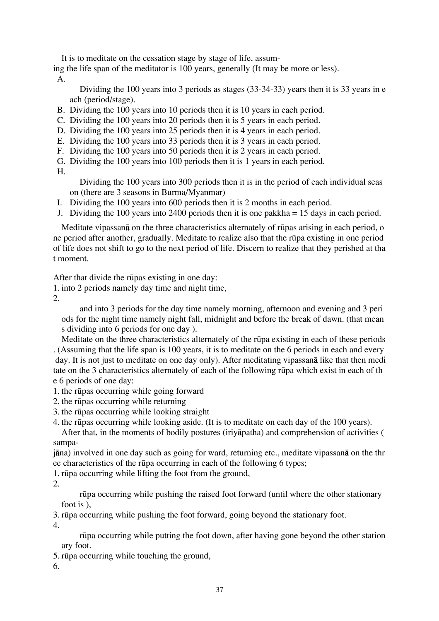It is to meditate on the cessation stage by stage of life, assum-

ing the life span of the meditator is 100 years, generally (It may be more or less). A.

 Dividing the 100 years into 3 periods as stages (33-34-33) years then it is 33 years in e ach (period/stage).

- B. Dividing the 100 years into 10 periods then it is 10 years in each period.
- C. Dividing the 100 years into 20 periods then it is 5 years in each period.
- D. Dividing the 100 years into 25 periods then it is 4 years in each period.
- E. Dividing the 100 years into 33 periods then it is 3 years in each period.
- F. Dividing the 100 years into 50 periods then it is 2 years in each period.
- G. Dividing the 100 years into 100 periods then it is 1 years in each period.

H.

 Dividing the 100 years into 300 periods then it is in the period of each individual seas on (there are 3 seasons in Burma/Myanmar)

- I. Dividing the 100 years into 600 periods then it is 2 months in each period.
- J. Dividing the 100 years into 2400 periods then it is one pakkha = 15 days in each period.

Meditate vipassanå on the three characteristics alternately of rËpas arising in each period, o ne period after another, gradually. Meditate to realize also that the rūpa existing in one period of life does not shift to go to the next period of life. Discern to realize that they perished at tha t moment.

After that divide the rūpas existing in one day:

1. into 2 periods namely day time and night time,

2.

 and into 3 periods for the day time namely morning, afternoon and evening and 3 peri ods for the night time namely night fall, midnight and before the break of dawn. (that mean s dividing into 6 periods for one day ).

Meditate on the three characteristics alternately of the rūpa existing in each of these periods . (Assuming that the life span is 100 years, it is to meditate on the 6 periods in each and every day. It is not just to meditate on one day only). After meditating vipassanå like that then medi tate on the 3 characteristics alternately of each of the following rËpa which exist in each of th e 6 periods of one day:

- 1. the rËpas occurring while going forward
- 2. the rËpas occurring while returning
- 3. the rËpas occurring while looking straight
- 4. the rūpas occurring while looking aside. (It is to meditate on each day of the 100 years).

After that, in the moments of bodily postures (iriyåpatha) and comprehension of activities ( sampa-

jåna) involved in one day such as going for ward, returning etc., meditate vipassanå on the thr ee characteristics of the rūpa occurring in each of the following 6 types;

1. rËpa occurring while lifting the foot from the ground,

2.

rūpa occurring while pushing the raised foot forward (until where the other stationary foot is ),

3. rËpa occurring while pushing the foot forward, going beyond the stationary foot.

4.

 rËpa occurring while putting the foot down, after having gone beyond the other station ary foot.

5. rūpa occurring while touching the ground,

6.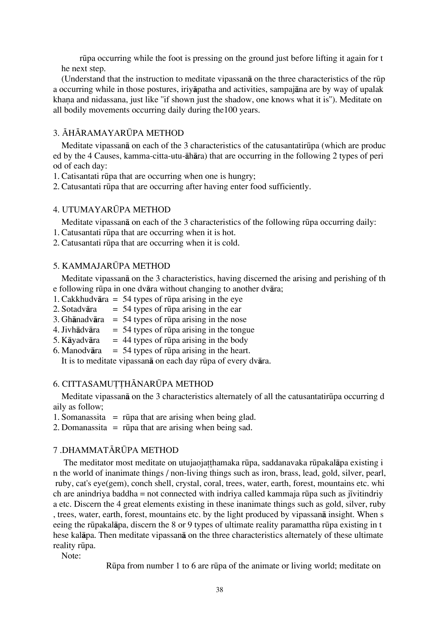rūpa occurring while the foot is pressing on the ground just before lifting it again for t he next step.

(Understand that the instruction to meditate vipassana on the three characteristics of the rūp a occurring while in those postures, iriyåpatha and activities, sampajåna are by way of upalak khana and nidassana, just like "if shown just the shadow, one knows what it is"). Meditate on all bodily movements occurring daily during the100 years.

### 3. ÁHÁRAMAYARÚPA METHOD

Meditate vipassana on each of the 3 characteristics of the catusantatirupa (which are produc ed by the 4 Causes, kamma-citta-utu-åhåra) that are occurring in the following 2 types of peri od of each day:

1. Catisantati rËpa that are occurring when one is hungry;

2. Catusantati rËpa that are occurring after having enter food sufficiently.

### 4. UTUMAYARÚPA METHOD

Meditate vipassana on each of the 3 characteristics of the following rūpa occurring daily:

- 1. Catusantati rËpa that are occurring when it is hot.
- 2. Catusantati rËpa that are occurring when it is cold.

### 5. KAMMAJARÚPA METHOD

Meditate vipassanå on the 3 characteristics, having discerned the arising and perishing of th e following rËpa in one dvåra without changing to another dvåra;

- 1. Cakkhudvāra = 54 types of rūpa arising in the eye
- 2. Sotadvāra  $= 54$  types of rūpa arising in the ear
- 3. Ghānadvāra = 54 types of rūpa arising in the nose
- 4. Jivhādvāra = 54 types of rūpa arising in the tongue
- 5. Käyadvära = 44 types of rūpa arising in the body
- 6. Manodvāra =  $54$  types of rūpa arising in the heart.

It is to meditate vipassana on each day rūpa of every dvāra.

### 6. CITTASAMUTTHĀNARŪPA METHOD

Meditate vipassana on the 3 characteristics alternately of all the catusantatirupa occurring d aily as follow;

1. Somanassita  $=$  rūpa that are arising when being glad.

2. Domanassita  $=$  rūpa that are arising when being sad.

### 7 .DHAMMATĀRŪPA METHOD

The meditator most meditate on utujaojatthamaka rūpa, saddanavaka rūpakalāpa existing i n the world of inanimate things / non-living things such as iron, brass, lead, gold, silver, pearl, ruby, cat's eye(gem), conch shell, crystal, coral, trees, water, earth, forest, mountains etc. whi ch are anindriya baddha = not connected with indriya called kammaja rūpa such as jīvitindriy a etc. Discern the 4 great elements existing in these inanimate things such as gold, silver, ruby , trees, water, earth, forest, mountains etc. by the light produced by vipassanå insight. When s eeing the rūpakalāpa, discern the 8 or 9 types of ultimate reality paramattha rūpa existing in t hese kalåpa. Then meditate vipassanå on the three characteristics alternately of these ultimate reality rūpa.

Note:

RËpa from number 1 to 6 are rËpa of the animate or living world; meditate on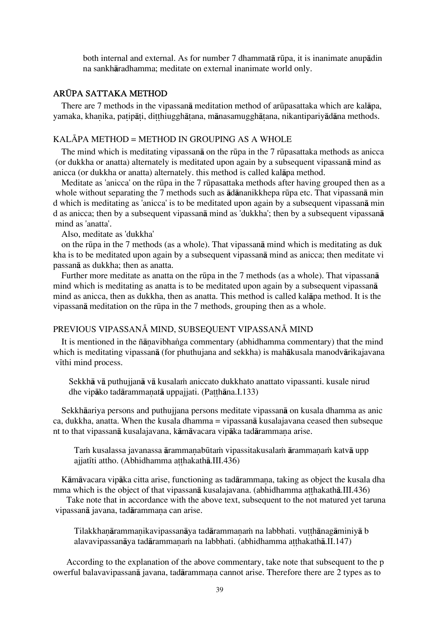both internal and external. As for number 7 dhammatā rūpa, it is inanimate anupādin na sankhåradhamma; meditate on external inanimate world only.

### ARÚPA SATTAKA METHOD

There are 7 methods in the vipassana meditation method of arūpasattaka which are kalapa, yamaka, khanika, patipāti, ditthiugghātana, mānasamugghātana, nikantipariyādāna methods.

#### KALĀPA METHOD = METHOD IN GROUPING AS A WHOLE

The mind which is meditating vipassan $\bar{a}$  on the rūpa in the 7 rūpasattaka methods as anicca (or dukkha or anatta) alternately is meditated upon again by a subsequent vipassanå mind as anicca (or dukkha or anatta) alternately. this method is called kalåpa method.

Meditate as 'anicca' on the rūpa in the 7 rūpasattaka methods after having grouped then as a whole without separating the 7 methods such as  $\overline{\mathbf{a}}$  dananikkhepa rūpa etc. That vipassan $\overline{\mathbf{a}}$  min d which is meditating as 'anicca' is to be meditated upon again by a subsequent vipassanå min d as anicca; then by a subsequent vipassanå mind as 'dukkha'; then by a subsequent vipassanå mind as 'anatta'.

Also, meditate as 'dukkha'

 on the rËpa in the 7 methods (as a whole). That vipassanå mind which is meditating as duk kha is to be meditated upon again by a subsequent vipassanå mind as anicca; then meditate vi passanå as dukkha; then as anatta.

Further more meditate as anatta on the rūpa in the 7 methods (as a whole). That vipassan**ā** mind which is meditating as anatta is to be meditated upon again by a subsequent vipassanå mind as anicca, then as dukkha, then as anatta. This method is called kalåpa method. It is the vipassanā meditation on the rūpa in the 7 methods, grouping then as a whole.

### PREVIOUS VIPASSANĀ MIND, SUBSEQUENT VIPASSANĀ MIND

It is mentioned in the ñāṇavibhaṅga commentary (abhidhamma commentary) that the mind which is meditating vipassanå (for phuthujana and sekkha) is mahåkusala manodvårikajavana vīthi mind process.

Sekkhā vā puthujjanā vā kusalam aniccato dukkhato anattato vipassanti. kusale nirud dhe vipāko tadārammanatā uppajjati. (Patthāna.I.133)

Sekkhåariya persons and puthujjana persons meditate vipassanå on kusala dhamma as anic ca, dukkha, anatta. When the kusala dhamma = vipassanå kusalajavana ceased then subseque nt to that vipassanā kusalajavana, kāmāvacara vipāka tadārammana arise.

Tam kusalassa javanassa ārammanabūtam vipassitakusalam ārammanam katvā upp ajjatīti attho. (Abhidhamma atthakathā.III.436)

Kāmāvacara vipāka citta arise, functioning as tadārammana, taking as object the kusala dha mma which is the object of that vipassanā kusalajavana. (abhidhamma atthakathā.III.436)

Take note that in accordance with the above text, subsequent to the not matured yet taruna vipassanā javana, tadārammana can arise.

Tilakkhanārammanikavipassanāya tadārammanam na labbhati. vutthānagāminiyā b alavavipassanāya tadārammanam na labbhati. (abhidhamma atthakathā.II.147)

According to the explanation of the above commentary, take note that subsequent to the p owerful balavavipassanā javana, tadārammana cannot arise. Therefore there are 2 types as to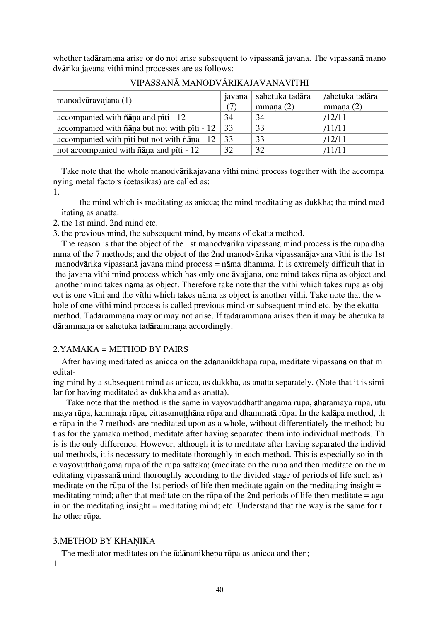whether tadåramana arise or do not arise subsequent to vipassanå javana. The vipassanå mano dvårika javana vithi mind processes are as follows:

| manodvāravajana $(1)$                                   | javana<br>(7) | sahetuka tadāra<br>mmana(2) | /ahetuka tadāra<br>mmana(2) |
|---------------------------------------------------------|---------------|-----------------------------|-----------------------------|
| accompanied with ñana and piti - 12                     | 34            | 34                          | /12/11                      |
| accompanied with $\tilde{n}$ and but not with piti - 12 | 33            | 33                          | /11/11                      |
| accompanied with piti but not with ñana - 12            | 33            | 33                          | /12/11                      |
| not accompanied with ñana and piti - 12                 | 32            | 32                          | /11/11                      |

VIPASSANĀ MANODVĀRIKAJAVANAVĪTHI

Take note that the whole manodvārikajavana vīthi mind process together with the accompa nying metal factors (cetasikas) are called as:

1.

 the mind which is meditating as anicca; the mind meditating as dukkha; the mind med itating as anatta.

2. the 1st mind, 2nd mind etc.

3. the previous mind, the subsequent mind, by means of ekatta method.

The reason is that the object of the 1st manodvārika vipassanā mind process is the rūpa dha mma of the 7 methods; and the object of the 2nd manodvārika vipassanājavana vīthi is the 1st manodvårika vipassanå javana mind process = nåma dhamma. It is extremely difficult that in the javana vīthi mind process which has only one āvajjana, one mind takes rūpa as object and another mind takes nāma as object. Therefore take note that the vīthi which takes rūpa as obj ect is one vithi and the vithi which takes nāma as object is another vithi. Take note that the w hole of one vithi mind process is called previous mind or subsequent mind etc. by the ekatta method. Tadārammana may or may not arise. If tadārammana arises then it may be ahetuka ta dārammaṇa or sahetuka tadārammaṇa accordingly.

# 2.YAMAKA = METHOD BY PAIRS

After having meditated as anicca on the ādānanikkhapa rūpa, meditate vipassanā on that m editat-

ing mind by a subsequent mind as anicca, as dukkha, as anatta separately. (Note that it is simi lar for having meditated as dukkha and as anatta).

Take note that the method is the same in vayovuddhatthangama rūpa, āhāramaya rūpa, utu maya rūpa, kammaja rūpa, cittasamutthāna rūpa and dhammatā rūpa. In the kalāpa method, th e rËpa in the 7 methods are meditated upon as a whole, without differentiately the method; bu t as for the yamaka method, meditate after having separated them into individual methods. Th is is the only difference. However, although it is to meditate after having separated the individ ual methods, it is necessary to meditate thoroughly in each method. This is especially so in th e vayovut thangama rūpa of the rūpa sattaka; (meditate on the rūpa and then meditate on the m editating vipassanå mind thoroughly according to the divided stage of periods of life such as) meditate on the rūpa of the 1st periods of life then meditate again on the meditating insight  $=$ meditating mind; after that meditate on the rūpa of the 2nd periods of life then meditate  $=$  aga in on the meditating insight = meditating mind; etc. Understand that the way is the same for t he other rūpa.

# 3. METHOD BY KHANIKA

The meditator meditates on the  $\overline{a}$ dananikhepa rūpa as anicca and then;

1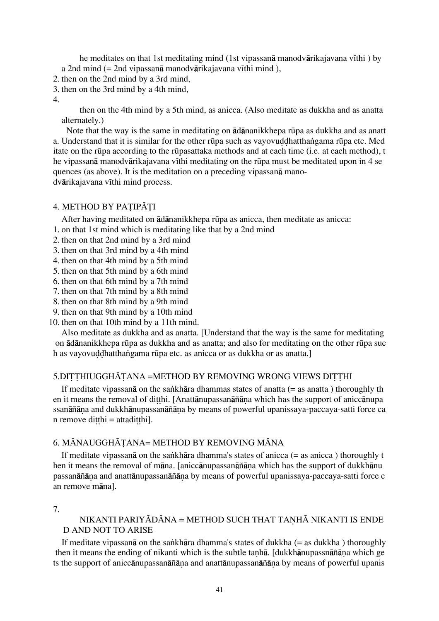he meditates on that 1st meditating mind (1st vipassana manodvarikajavana vīthi ) by a 2nd mind  $(= 2nd$  vipassanā manodvārikajavana vīthi mind),

2. then on the 2nd mind by a 3rd mind,

- 3. then on the 3rd mind by a 4th mind,
- 4.

 then on the 4th mind by a 5th mind, as anicca. (Also meditate as dukkha and as anatta alternately.)

Note that the way is the same in meditating on  $\overline{a}$ dananikkhepa rūpa as dukkha and as anatt a. Understand that it is similar for the other rūpa such as vayovuddhatthangama rūpa etc. Med itate on the rËpa according to the rËpasattaka methods and at each time (i.e. at each method), t he vipassanā manodvārikajavana vīthi meditating on the rūpa must be meditated upon in 4 se quences (as above). It is the meditation on a preceding vipassanå manodvārikajavana vīthi mind process.

### 4. METHOD BY PATIPĀTI

After having meditated on ādānanikkhepa rūpa as anicca, then meditate as anicca:

1. on that 1st mind which is meditating like that by a 2nd mind

- 2. then on that 2nd mind by a 3rd mind
- 3. then on that 3rd mind by a 4th mind
- 4. then on that 4th mind by a 5th mind
- 5. then on that 5th mind by a 6th mind
- 6. then on that 6th mind by a 7th mind
- 7. then on that 7th mind by a 8th mind
- 8. then on that 8th mind by a 9th mind
- 9. then on that 9th mind by a 10th mind

10. then on that 10th mind by a 11th mind.

Also meditate as dukkha and as anatta. [Understand that the way is the same for meditating on  $\bar{a}$ dānanikkhepa rūpa as dukkha and as anatta; and also for meditating on the other rūpa suc h as vayovuddhatthangama rūpa etc. as anicca or as dukkha or as anatta.]

### 5. DITTHIUGGHĀTANA =METHOD BY REMOVING WRONG VIEWS DITTHI

If meditate vipassan $\bar{a}$  on the sankhāra dhammas states of anatta (= as anatta) thoroughly th en it means the removal of ditthi. [Anattānupassanāñāna which has the support of aniccānupa ssanāñāna and dukkhānupassanāñāna by means of powerful upanissaya-paccaya-satti force ca  $n$  remove ditthi = attaditthi].

### 6. MĀNAUGGHĀTANA= METHOD BY REMOVING MĀNA

If meditate vipassan $\bar{a}$  on the sankhāra dhamma's states of anicca (= as anicca) thoroughly t hen it means the removal of māna. [aniccānupassanāñāna which has the support of dukkhānu passanāñāna and anattānupassanāñāna by means of powerful upanissaya-paccaya-satti force c an remove måna].

### 7.

### NIKANTI PARIYĀDĀNA = METHOD SUCH THAT TANHĀ NIKANTI IS ENDE D AND NOT TO ARISE

If meditate vipassanā on the sankhāra dhamma's states of dukkha (= as dukkha ) thoroughly then it means the ending of nikanti which is the subtle tanha. [dukkhānupassnāñāna which ge ts the support of aniccānupassanāñāna and anattānupassanāñāna by means of powerful upanis